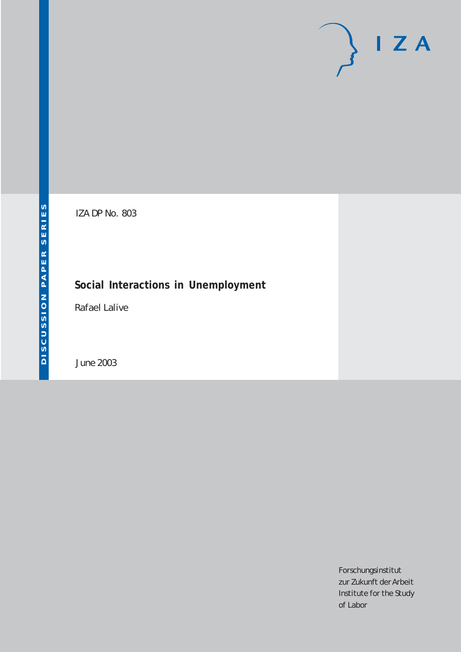# $I Z A$

IZA DP No. 803

# **Social Interactions in Unemployment**

Rafael Lalive

June 2003

Forschungsinstitut zur Zukunft der Arbeit Institute for the Study of Labor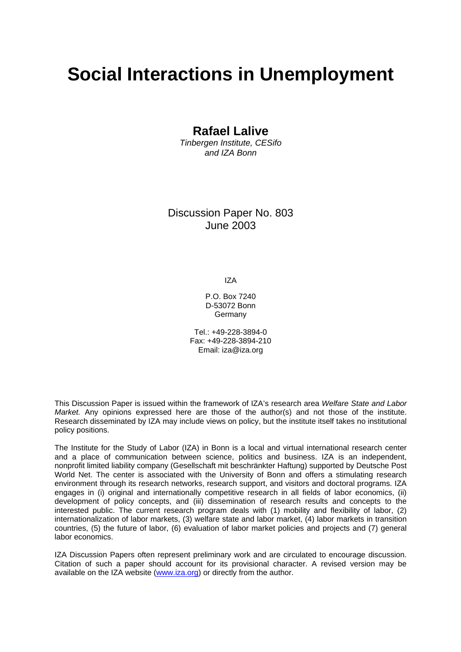# **Social Interactions in Unemployment**

## **Rafael Lalive**

*Tinbergen Institute, CESifo and IZA Bonn* 

## Discussion Paper No. 803 June 2003

IZA

P.O. Box 7240 D-53072 Bonn Germany

Tel.: +49-228-3894-0 Fax: +49-228-3894-210 Email: [iza@iza.org](mailto:iza@iza.org)

This Discussion Paper is issued within the framework of IZA's research area *Welfare State and Labor Market.* Any opinions expressed here are those of the author(s) and not those of the institute. Research disseminated by IZA may include views on policy, but the institute itself takes no institutional policy positions.

The Institute for the Study of Labor (IZA) in Bonn is a local and virtual international research center and a place of communication between science, politics and business. IZA is an independent, nonprofit limited liability company (Gesellschaft mit beschränkter Haftung) supported by Deutsche Post World Net. The center is associated with the University of Bonn and offers a stimulating research environment through its research networks, research support, and visitors and doctoral programs. IZA engages in (i) original and internationally competitive research in all fields of labor economics, (ii) development of policy concepts, and (iii) dissemination of research results and concepts to the interested public. The current research program deals with (1) mobility and flexibility of labor, (2) internationalization of labor markets, (3) welfare state and labor market, (4) labor markets in transition countries, (5) the future of labor, (6) evaluation of labor market policies and projects and (7) general labor economics.

IZA Discussion Papers often represent preliminary work and are circulated to encourage discussion. Citation of such a paper should account for its provisional character. A revised version may be available on the IZA website ([www.iza.org](http://www.iza.org/)) or directly from the author.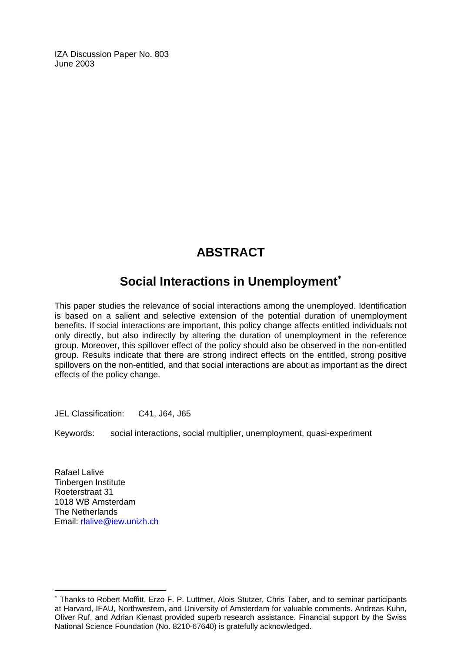IZA Discussion Paper No. 803 June 2003

# **ABSTRACT**

# **Social Interactions in Unemployment**[∗](#page-2-0)

This paper studies the relevance of social interactions among the unemployed. Identification is based on a salient and selective extension of the potential duration of unemployment benefits. If social interactions are important, this policy change affects entitled individuals not only directly, but also indirectly by altering the duration of unemployment in the reference group. Moreover, this spillover effect of the policy should also be observed in the non-entitled group. Results indicate that there are strong indirect effects on the entitled, strong positive spillovers on the non-entitled, and that social interactions are about as important as the direct effects of the policy change.

JEL Classification: C41, J64, J65

Keywords: social interactions, social multiplier, unemployment, quasi-experiment

Rafael Lalive Tinbergen Institute Roeterstraat 31 1018 WB Amsterdam The Netherlands Email: [rlalive@iew.unizh.ch](mailto:rlalive@iew.unizh.ch) 

 $\overline{a}$ 

<span id="page-2-0"></span><sup>∗</sup> Thanks to Robert Moffitt, Erzo F. P. Luttmer, Alois Stutzer, Chris Taber, and to seminar participants at Harvard, IFAU, Northwestern, and University of Amsterdam for valuable comments. Andreas Kuhn, Oliver Ruf, and Adrian Kienast provided superb research assistance. Financial support by the Swiss National Science Foundation (No. 8210-67640) is gratefully acknowledged.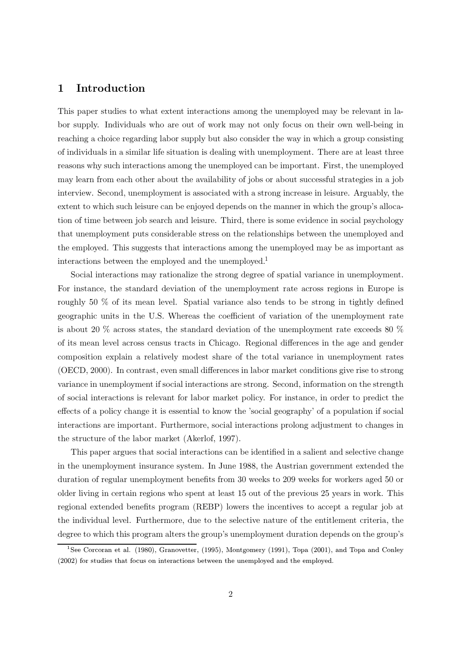#### Introduction  $\mathbf 1$

This paper studies to what extent interactions among the unemployed may be relevant in labor supply. Individuals who are out of work may not only focus on their own well-being in reaching a choice regarding labor supply but also consider the way in which a group consisting of individuals in a similar life situation is dealing with unemployment. There are at least three reasons why such interactions among the unemployed can be important. First, the unemployed may learn from each other about the availability of jobs or about successful strategies in a job interview. Second, unemployment is associated with a strong increase in leisure. Arguably, the extent to which such leisure can be enjoyed depends on the manner in which the group's allocation of time between job search and leisure. Third, there is some evidence in social psychology that unemployment puts considerable stress on the relationships between the unemployed and the employed. This suggests that interactions among the unemployed may be as important as interactions between the employed and the unemployed.<sup>1</sup>

Social interactions may rationalize the strong degree of spatial variance in unemployment. For instance, the standard deviation of the unemployment rate across regions in Europe is roughly 50 % of its mean level. Spatial variance also tends to be strong in tightly defined geographic units in the U.S. Whereas the coefficient of variation of the unemployment rate is about 20  $\%$  across states, the standard deviation of the unemployment rate exceeds 80  $\%$ of its mean level across census tracts in Chicago. Regional differences in the age and gender composition explain a relatively modest share of the total variance in unemployment rates (OECD, 2000). In contrast, even small differences in labor market conditions give rise to strong variance in unemployment if social interactions are strong. Second, information on the strength of social interactions is relevant for labor market policy. For instance, in order to predict the effects of a policy change it is essential to know the 'social geography' of a population if social interactions are important. Furthermore, social interactions prolong adjustment to changes in the structure of the labor market (Akerlof, 1997).

This paper argues that social interactions can be identified in a salient and selective change in the unemployment insurance system. In June 1988, the Austrian government extended the duration of regular unemployment benefits from 30 weeks to 209 weeks for workers aged 50 or older living in certain regions who spent at least 15 out of the previous 25 years in work. This regional extended benefits program (REBP) lowers the incentives to accept a regular job at the individual level. Furthermore, due to the selective nature of the entitlement criteria, the degree to which this program alters the group's unemployment duration depends on the group's

<sup>&</sup>lt;sup>1</sup>See Corcoran et al. (1980), Granovetter, (1995), Montgomery (1991), Topa (2001), and Topa and Conley (2002) for studies that focus on interactions between the unemployed and the employed.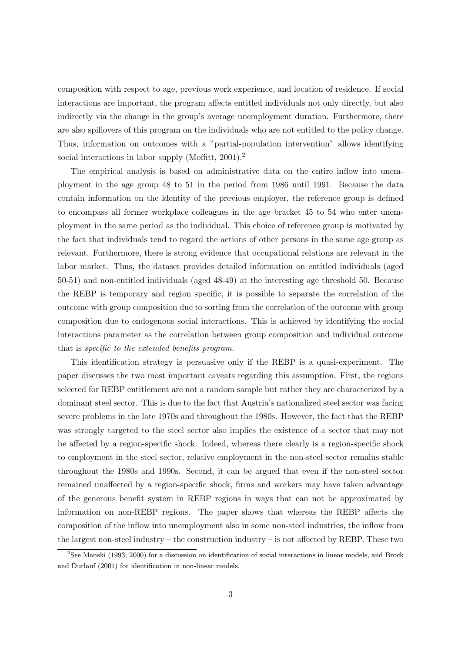composition with respect to age, previous work experience, and location of residence. If social interactions are important, the program affects entitled individuals not only directly, but also indirectly via the change in the group's average unemployment duration. Furthermore, there are also spillovers of this program on the individuals who are not entitled to the policy change. Thus, information on outcomes with a "partial-population intervention" allows identifying social interactions in labor supply (Moffitt,  $2001$ ).<sup>2</sup>

The empirical analysis is based on administrative data on the entire inflow into unemployment in the age group 48 to 51 in the period from 1986 until 1991. Because the data contain information on the identity of the previous employer, the reference group is defined to encompass all former workplace colleagues in the age bracket 45 to 54 who enter unemployment in the same period as the individual. This choice of reference group is motivated by the fact that individuals tend to regard the actions of other persons in the same age group as relevant. Furthermore, there is strong evidence that occupational relations are relevant in the labor market. Thus, the dataset provides detailed information on entitled individuals (aged 50-51) and non-entitled individuals (aged 48-49) at the interesting age threshold 50. Because the REBP is temporary and region specific, it is possible to separate the correlation of the outcome with group composition due to sorting from the correlation of the outcome with group composition due to endogenous social interactions. This is achieved by identifying the social interactions parameter as the correlation between group composition and individual outcome that is *specific to the extended benefits program*.

This identification strategy is persuasive only if the REBP is a quasi-experiment. The paper discusses the two most important caveats regarding this assumption. First, the regions selected for REBP entitlement are not a random sample but rather they are characterized by a dominant steel sector. This is due to the fact that Austria's nationalized steel sector was facing severe problems in the late 1970s and throughout the 1980s. However, the fact that the REBP was strongly targeted to the steel sector also implies the existence of a sector that may not be affected by a region-specific shock. Indeed, whereas there clearly is a region-specific shock to employment in the steel sector, relative employment in the non-steel sector remains stable throughout the 1980s and 1990s. Second, it can be argued that even if the non-steel sector remained unaffected by a region-specific shock, firms and workers may have taken advantage of the generous benefit system in REBP regions in ways that can not be approximated by information on non-REBP regions. The paper shows that whereas the REBP affects the composition of the inflow into unemployment also in some non-steel industries, the inflow from the largest non-steel industry – the construction industry – is not affected by REBP. These two

 ${}^{2}$ See Manski (1993; 2000) for a discussion on identification of social interactions in linear models, and Brock and Durlauf (2001) for identification in non-linear models.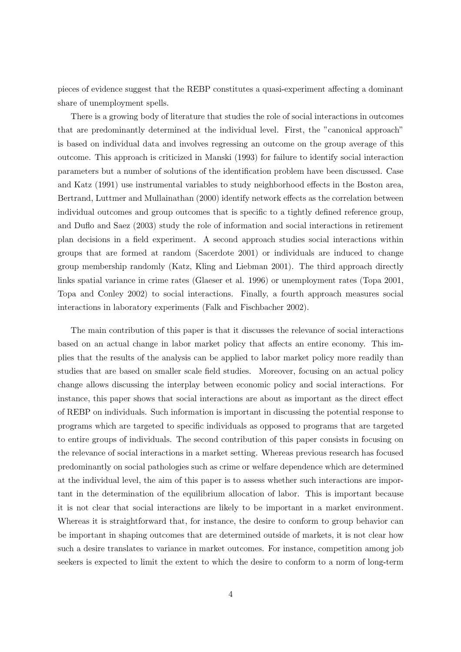pieces of evidence suggest that the REBP constitutes a quasi-experiment affecting a dominant share of unemployment spells.

There is a growing body of literature that studies the role of social interactions in outcomes that are predominantly determined at the individual level. First, the "canonical approach" is based on individual data and involves regressing an outcome on the group average of this outcome. This approach is criticized in Manski (1993) for failure to identify social interaction parameters but a number of solutions of the identification problem have been discussed. Case and Katz (1991) use instrumental variables to study neighborhood effects in the Boston area, Bertrand, Luttmer and Mullainathan (2000) identify network effects as the correlation between individual outcomes and group outcomes that is specific to a tightly defined reference group, and Duflo and Saez (2003) study the role of information and social interactions in retirement plan decisions in a field experiment. A second approach studies social interactions within groups that are formed at random (Sacerdote 2001) or individuals are induced to change group membership randomly (Katz, Kling and Liebman 2001). The third approach directly links spatial variance in crime rates (Glaeser et al. 1996) or unemployment rates (Topa 2001, Topa and Conley 2002) to social interactions. Finally, a fourth approach measures social interactions in laboratory experiments (Falk and Fischbacher 2002).

The main contribution of this paper is that it discusses the relevance of social interactions based on an actual change in labor market policy that affects an entire economy. This implies that the results of the analysis can be applied to labor market policy more readily than studies that are based on smaller scale field studies. Moreover, focusing on an actual policy change allows discussing the interplay between economic policy and social interactions. For instance, this paper shows that social interactions are about as important as the direct effect of REBP on individuals. Such information is important in discussing the potential response to programs which are targeted to specific individuals as opposed to programs that are targeted to entire groups of individuals. The second contribution of this paper consists in focusing on the relevance of social interactions in a market setting. Whereas previous research has focused predominantly on social pathologies such as crime or welfare dependence which are determined at the individual level, the aim of this paper is to assess whether such interactions are important in the determination of the equilibrium allocation of labor. This is important because it is not clear that social interactions are likely to be important in a market environment. Whereas it is straightforward that, for instance, the desire to conform to group behavior can be important in shaping outcomes that are determined outside of markets, it is not clear how such a desire translates to variance in market outcomes. For instance, competition among job seekers is expected to limit the extent to which the desire to conform to a norm of long-term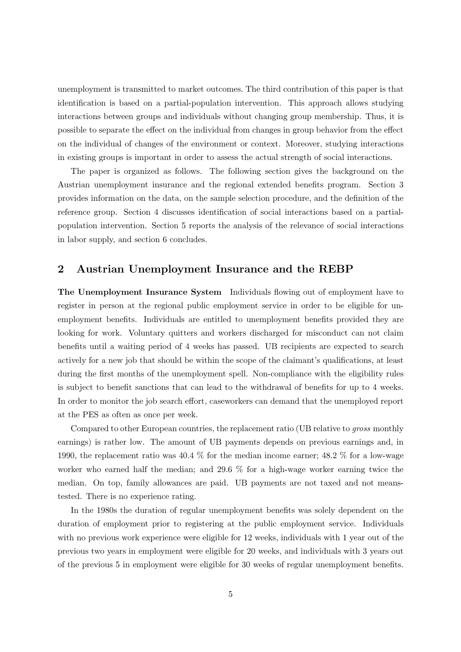unemployment is transmitted to market outcomes. The third contribution of this paper is that identification is based on a partial-population intervention. This approach allows studying interactions between groups and individuals without changing group membership. Thus, it is possible to separate the effect on the individual from changes in group behavior from the effect on the individual of changes of the environment or context. Moreover, studying interactions in existing groups is important in order to assess the actual strength of social interactions.

The paper is organized as follows. The following section gives the background on the Austrian unemployment insurance and the regional extended benefits program. Section 3 provides information on the data, on the sample selection procedure, and the definition of the reference group. Section 4 discusses identification of social interactions based on a partialpopulation intervention. Section 5 reports the analysis of the relevance of social interactions in labor supply, and section 6 concludes.

#### $\overline{2}$ Austrian Unemployment Insurance and the REBP

The Unemployment Insurance System Individuals flowing out of employment have to register in person at the regional public employment service in order to be eligible for unemployment benefits. Individuals are entitled to unemployment benefits provided they are looking for work. Voluntary quitters and workers discharged for misconduct can not claim benefits until a waiting period of 4 weeks has passed. UB recipients are expected to search actively for a new job that should be within the scope of the claimant's qualifications, at least during the first months of the unemployment spell. Non-compliance with the eligibility rules is subject to benefit sanctions that can lead to the withdrawal of benefits for up to 4 weeks. In order to monitor the job search effort, caseworkers can demand that the unemployed report at the PES as often as once per week.

Compared to other European countries, the replacement ratio (UB relative to *gross* monthly earnings) is rather low. The amount of UB payments depends on previous earnings and, in 1990, the replacement ratio was 40.4 % for the median income earner; 48.2 % for a low-wage worker who earned half the median; and 29.6  $\%$  for a high-wage worker earning twice the median. On top, family allowances are paid. UB payments are not taxed and not meanstested. There is no experience rating.

In the 1980s the duration of regular unemployment benefits was solely dependent on the duration of employment prior to registering at the public employment service. Individuals with no previous work experience were eligible for 12 weeks, individuals with 1 year out of the previous two years in employment were eligible for 20 weeks, and individuals with 3 years out of the previous 5 in employment were eligible for 30 weeks of regular unemployment benefits.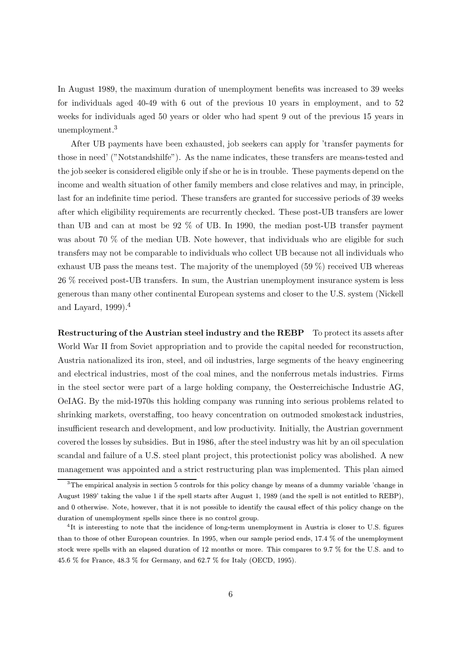In August 1989, the maximum duration of unemployment benefits was increased to 39 weeks for individuals aged 40-49 with 6 out of the previous 10 years in employment, and to 52 weeks for individuals aged 50 years or older who had spent 9 out of the previous 15 years in unemployment. $3$ 

After UB payments have been exhausted, job seekers can apply for 'transfer payments for those in need' ("Notstandshilfe"). As the name indicates, these transfers are means-tested and the job seeker is considered eligible only if she or he is in trouble. These payments depend on the income and wealth situation of other family members and close relatives and may, in principle, last for an indefinite time period. These transfers are granted for successive periods of 39 weeks after which eligibility requirements are recurrently checked. These post-UB transfers are lower than UB and can at most be  $92\%$  of UB. In 1990, the median post-UB transfer payment was about 70 % of the median UB. Note however, that individuals who are eligible for such transfers may not be comparable to individuals who collect UB because not all individuals who exhaust UB pass the means test. The majority of the unemployed  $(59\%)$  received UB whereas 26 % received post-UB transfers. In sum, the Austrian unemployment insurance system is less generous than many other continental European systems and closer to the U.S. system (Nickell and Layard,  $1999$ ).<sup>4</sup>

Restructuring of the Austrian steel industry and the REBP To protect its assets after World War II from Soviet appropriation and to provide the capital needed for reconstruction, Austria nationalized its iron, steel, and oil industries, large segments of the heavy engineering and electrical industries, most of the coal mines, and the nonferrous metals industries. Firms in the steel sector were part of a large holding company, the Oesterreichische Industrie AG, OeIAG. By the mid-1970s this holding company was running into serious problems related to shrinking markets, overstaffing, too heavy concentration on outmoded smokestack industries, insufficient research and development, and low productivity. Initially, the Austrian government covered the losses by subsidies. But in 1986, after the steel industry was hit by an oil speculation scandal and failure of a U.S. steel plant project, this protection is policy was abolished. A new management was appointed and a strict restructuring plan was implemented. This plan aimed

 ${}^{3}$ The empirical analysis in section 5 controls for this policy change by means of a dummy variable 'change in August 1989' taking the value 1 if the spell starts after August 1, 1989 (and the spell is not entitled to REBP), and 0 otherwise. Note, however, that it is not possible to identify the causal effect of this policy change on the duration of unemployment spells since there is no control group.

<sup>&</sup>lt;sup>4</sup>It is interesting to note that the incidence of long-term unemployment in Austria is closer to U.S. figures than to those of other European countries. In 1995, when our sample period ends, 17.4 % of the unemployment stock were spells with an elapsed duration of 12 months or more. This compares to 9.7 % for the U.S. and to 45.6 % for France, 48.3 % for Germany, and 62.7 % for Italy (OECD, 1995).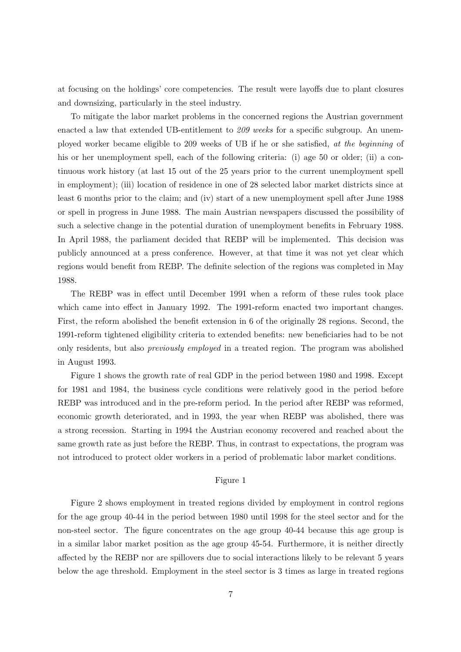at focusing on the holdings' core competencies. The result were layoffs due to plant closures and downsizing, particularly in the steel industry.

To mitigate the labor market problems in the concerned regions the Austrian government enacted a law that extended UB-entitlement to  $209$  weeks for a specific subgroup. An unemployed worker became eligible to 209 weeks of UB if he or she satisfied, at the beginning of his or her unemployment spell, each of the following criteria: (i) age 50 or older; (ii) a continuous work history (at last 15 out of the 25 years prior to the current unemployment spell in employment); (iii) location of residence in one of 28 selected labor market districts since at least 6 months prior to the claim; and (iv) start of a new unemployment spell after June 1988 or spell in progress in June 1988. The main Austrian newspapers discussed the possibility of such a selective change in the potential duration of unemployment benefits in February 1988. In April 1988, the parliament decided that REBP will be implemented. This decision was publicly announced at a press conference. However, at that time it was not yet clear which regions would benefit from REBP. The definite selection of the regions was completed in May 1988.

The REBP was in effect until December 1991 when a reform of these rules took place which came into effect in January 1992. The 1991-reform enacted two important changes. First, the reform abolished the benefit extension in 6 of the originally 28 regions. Second, the 1991-reform tightened eligibility criteria to extended benefits: new beneficiaries had to be not only residents, but also *previously employed* in a treated region. The program was abolished in August 1993.

Figure 1 shows the growth rate of real GDP in the period between 1980 and 1998. Except for 1981 and 1984, the business cycle conditions were relatively good in the period before REBP was introduced and in the pre-reform period. In the period after REBP was reformed, economic growth deteriorated, and in 1993, the year when REBP was abolished, there was a strong recession. Starting in 1994 the Austrian economy recovered and reached about the same growth rate as just before the REBP. Thus, in contrast to expectations, the program was not introduced to protect older workers in a period of problematic labor market conditions.

#### Figure 1

Figure 2 shows employment in treated regions divided by employment in control regions for the age group 40-44 in the period between 1980 until 1998 for the steel sector and for the non-steel sector. The figure concentrates on the age group 40-44 because this age group is in a similar labor market position as the age group 45-54. Furthermore, it is neither directly affected by the REBP nor are spillovers due to social interactions likely to be relevant 5 years below the age threshold. Employment in the steel sector is 3 times as large in treated regions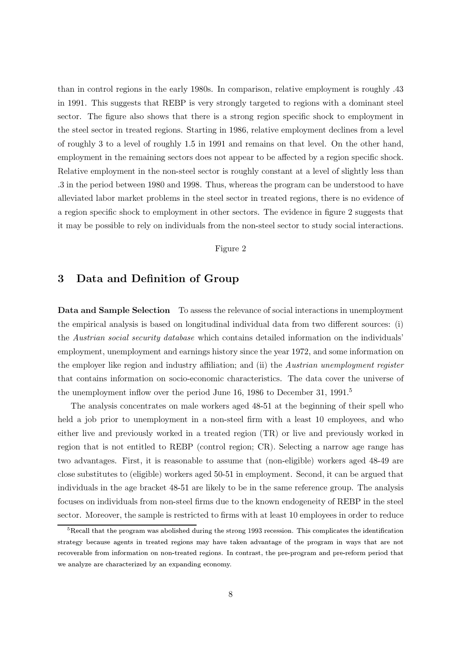43. than in control regions in the early 1980s. In comparison, relative employment is roughly  $43$ in 1991. This suggests that REBP is very strongly targeted to regions with a dominant steel sector. The figure also shows that there is a strong region specific shock to employment in the steel sector in treated regions. Starting in 1986, relative employment declines from a level of roughly 3 to a level of roughly 1.5 in 1991 and remains on that level. On the other hand, employment in the remaining sectors does not appear to be affected by a region specific shock. Relative employment in the non-steel sector is roughly constant at a level of slightly less than .3 in the period between 1980 and 1998. Thus, whereas the program can be understood to have alleviated labor market problems in the steel sector in treated regions, there is no evidence of a region specific shock to employment in other sectors. The evidence in figure 2 suggests that it may be possible to rely on individuals from the non-steel sector to study social interactions.

#### Figure 2

#### 3 Data and Definition of Group

Data and Sample Selection To assess the relevance of social interactions in unemployment the empirical analysis is based on longitudinal individual data from two different sources: (i) the Austrian social security database which contains detailed information on the individuals' employment, unemployment and earnings history since the year 1972, and some information on the employer like region and industry affiliation; and (ii) the Austrian unemployment register that contains information on socio-economic characteristics. The data cover the universe of the unemployment inflow over the period June 16, 1986 to December 31, 1991.<sup>5</sup>

The analysis concentrates on male workers aged 48-51 at the beginning of their spell who held a job prior to unemployment in a non-steel firm with a least 10 employees, and who either live and previously worked in a treated region (TR) or live and previously worked in region that is not entitled to REBP (control region; CR). Selecting a narrow age range has two advantages. First, it is reasonable to assume that (non-eligible) workers aged 48-49 are close substitutes to (eligible) workers aged 50-51 in employment. Second, it can be argued that individuals in the age bracket 48-51 are likely to be in the same reference group. The analysis focuses on individuals from non-steel firms due to the known endogeneity of REBP in the steel sector. Moreover, the sample is restricted to firms with at least 10 employees in order to reduce

 ${}^{5}$ Recall that the program was abolished during the strong 1993 recession. This complicates the identification strategy because agents in treated regions may have taken advantage of the program in ways that are not recoverable from information on non-treated regions. In contrast, the pre-program and pre-reform period that we analyze are characterized by an expanding economy.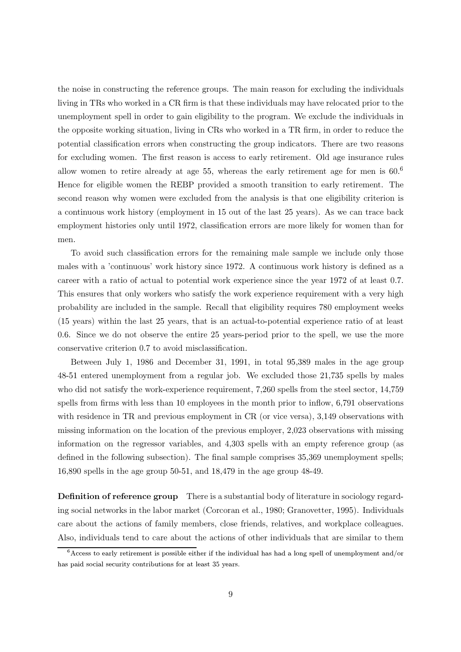the noise in constructing the reference groups. The main reason for excluding the individuals living in TRs who worked in a CR firm is that these individuals may have relocated prior to the unemployment spell in order to gain eligibility to the program. We exclude the individuals in the opposite working situation, living in CRs who worked in a TR firm, in order to reduce the potential classification errors when constructing the group indicators. There are two reasons for excluding women. The first reason is access to early retirement. Old age insurance rules allow women to retire already at age 55, whereas the early retirement age for men is  $60<sup>6</sup>$ Hence for eligible women the REBP provided a smooth transition to early retirement. The second reason why women were excluded from the analysis is that one eligibility criterion is a continuous work history (employment in 15 out of the last 25 years). As we can trace back employment histories only until 1972, classification errors are more likely for women than for men.

To avoid such classification errors for the remaining male sample we include only those males with a 'continuous' work history since 1972. A continuous work history is defined as a career with a ratio of actual to potential work experience since the year 1972 of at least 0.7. This ensures that only workers who satisfy the work experience requirement with a very high probability are included in the sample. Recall that eligibility requires 780 employment weeks (15 years) within the last 25 years, that is an actual-to-potential experience ratio of at least 0.6. Since we do not observe the entire 25 years-period prior to the spell, we use the more conservative criterion 0.7 to avoid misclassification.

Between July 1, 1986 and December 31, 1991, in total 95,389 males in the age group 48-51 entered unemployment from a regular job. We excluded those 21,735 spells by males who did not satisfy the work-experience requirement, 7,260 spells from the steel sector, 14,759 spells from firms with less than 10 employees in the month prior to inflow, 6,791 observations with residence in TR and previous employment in  $CR$  (or vice versa), 3,149 observations with missing information on the location of the previous employer, 2,023 observations with missing information on the regressor variables, and 4,303 spells with an empty reference group (as defined in the following subsection). The final sample comprises 35,369 unemployment spells; 16.890 spells in the age group 50-51, and  $18,479$  in the age group  $48-49$ .

**Definition of reference group** There is a substantial body of literature in sociology regarding social networks in the labor market (Corcoran et al., 1980; Granovetter, 1995). Individuals care about the actions of family members, close friends, relatives, and workplace colleagues. Also, individuals tend to care about the actions of other individuals that are similar to them

 ${}^6$ Access to early retirement is possible either if the individual has had a long spell of unemployment and/or has paid social security contributions for at least 35 years.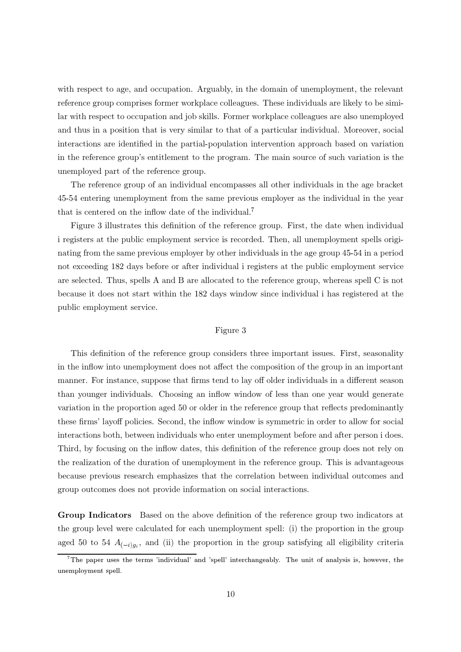with respect to age, and occupation. Arguably, in the domain of unemployment, the relevant reference group comprises former workplace colleagues. These individuals are likely to be similar with respect to occupation and job skills. Former workplace colleagues are also unemployed and thus in a position that is very similar to that of a particular individual. Moreover, social interactions are identified in the partial-population intervention approach based on variation in the reference group's entitlement to the program. The main source of such variation is the unemployed part of the reference group.

The reference group of an individual encompasses all other individuals in the age bracket 45-54 entering unemployment from the same previous employer as the individual in the year that is centered on the inflow date of the individual.<sup>7</sup>

Figure 3 illustrates this definition of the reference group. First, the date when individual i registers at the public employment service is recorded. Then, all unemployment spells originating from the same previous employer by other individuals in the age group 45-54 in a period not exceeding 182 days before or after individual i registers at the public employment service are selected. Thus, spells A and B are allocated to the reference group, whereas spell C is not because it does not start within the 182 days window since individual i has registered at the public employment service.

#### Figure 3

This definition of the reference group considers three important issues. First, seasonality in the inflow into unemployment does not affect the composition of the group in an important manner. For instance, suppose that firms tend to lay off older individuals in a different season than younger individuals. Choosing an inflow window of less than one year would generate variation in the proportion aged 50 or older in the reference group that reflects predominantly these firms' layoff policies. Second, the inflow window is symmetric in order to allow for social interactions both, between individuals who enter unemployment before and after person i does. Third, by focusing on the inflow dates, this definition of the reference group does not rely on the realization of the duration of unemployment in the reference group. This is advantageous because previous research emphasizes that the correlation between individual outcomes and group outcomes does not provide information on social interactions.

**Group Indicators** Based on the above definition of the reference group two indicators at the group level were calculated for each unemployment spell: (i) the proportion in the group aged 50 to 54  $A_{(-i)g_i}$ , and (ii) the proportion in the group satisfying all eligibility criteria

<sup>&</sup>lt;sup>7</sup>The paper uses the terms 'individual' and 'spell' interchangeably. The unit of analysis is, however, the unemployment spell.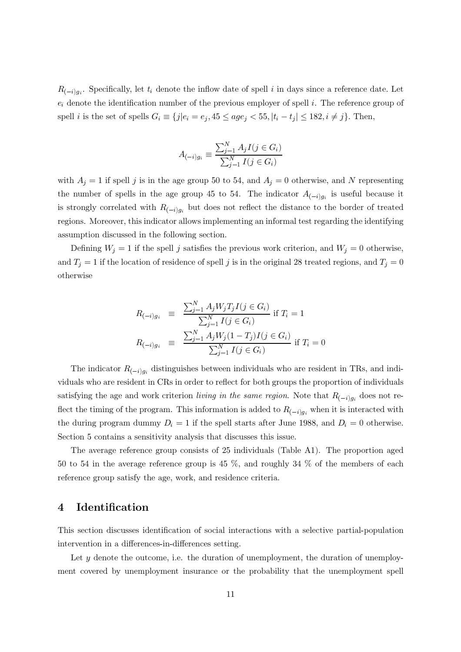$R_{(-i)g_i}$ . Specifically, let  $t_i$  denote the inflow date of spell i in days since a reference date. Let  $e_i$  denote the identification number of the previous employer of spell i. The reference group of spell *i* is the set of spells  $G_i \equiv \{j|e_i = e_j, 45 \le age_j < 55, |t_i - t_j| \le 182, i \ne j\}$ . Then,

$$
A_{(-i)g_i} \equiv \frac{\sum_{j=1}^{N} A_j I(j \in G_i)}{\sum_{j=1}^{N} I(j \in G_i)}
$$

with  $A_j = 1$  if spell j is in the age group 50 to 54, and  $A_j = 0$  otherwise, and N representing the number of spells in the age group 45 to 54. The indicator  $A_{(-i)g_i}$  is useful because it is strongly correlated with  $R_{(-i)g_i}$  but does not reflect the distance to the border of treated regions. Moreover, this indicator allows implementing an informal test regarding the identifying assumption discussed in the following section.

Defining  $W_j = 1$  if the spell j satisfies the previous work criterion, and  $W_j = 0$  otherwise, and  $T_j = 1$  if the location of residence of spell j is in the original 28 treated regions, and  $T_j = 0$ otherwise

$$
R_{(-i)g_i} \equiv \frac{\sum_{j=1}^{N} A_j W_j T_j I(j \in G_i)}{\sum_{j=1}^{N} I(j \in G_i)} \text{ if } T_i = 1
$$
  

$$
R_{(-i)g_i} \equiv \frac{\sum_{j=1}^{N} A_j W_j (1 - T_j) I(j \in G_i)}{\sum_{j=1}^{N} I(j \in G_i)} \text{ if } T_i = 0
$$

The indicator  $R_{(-i)q_i}$  distinguishes between individuals who are resident in TRs, and individuals who are resident in CRs in order to reflect for both groups the proportion of individuals satisfying the age and work criterion living in the same region. Note that  $R_{(-i)a_i}$  does not reflect the timing of the program. This information is added to  $R_{(-i)q_i}$  when it is interacted with the during program dummy  $D_i = 1$  if the spell starts after June 1988, and  $D_i = 0$  otherwise. Section 5 contains a sensitivity analysis that discusses this issue.

The average reference group consists of 25 individuals (Table A1). The proportion aged 50 to 54 in the average reference group is 45 %, and roughly 34 % of the members of each reference group satisfy the age, work, and residence criteria.

#### $\overline{4}$ Identification

This section discusses identification of social interactions with a selective partial-population intervention in a differences-in-differences setting.

Let  $y$  denote the outcome, i.e. the duration of unemployment, the duration of unemployment covered by unemployment insurance or the probability that the unemployment spell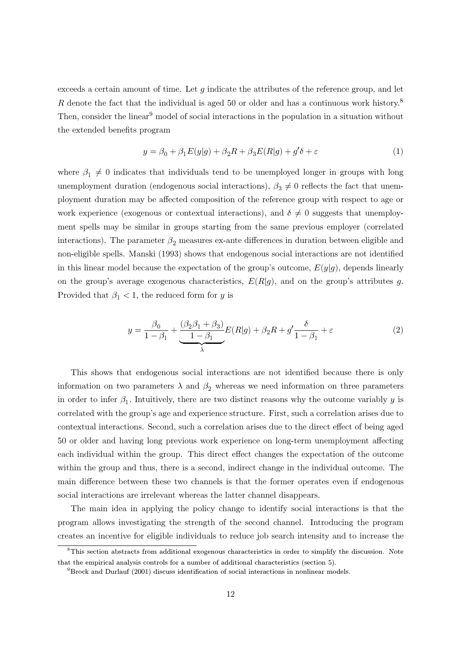exceeds a certain amount of time. Let  $q$  indicate the attributes of the reference group, and let R denote the fact that the individual is aged 50 or older and has a continuous work history.<sup>8</sup> Then, consider the linear<sup>9</sup> model of social interactions in the population in a situation without the extended benefits program

$$
y = \beta_0 + \beta_1 E(y|g) + \beta_2 R + \beta_3 E(R|g) + g'\delta + \varepsilon
$$
\n(1)

where  $\beta_1 \neq 0$  indicates that individuals tend to be unemployed longer in groups with long unemployment duration (endogenous social interactions),  $\beta_3 \neq 0$  reflects the fact that unemployment duration may be affected composition of the reference group with respect to age or work experience (exogenous or contextual interactions), and  $\delta \neq 0$  suggests that unemployment spells may be similar in groups starting from the same previous employer (correlated interactions). The parameter  $\beta_2$  measures ex-ante differences in duration between eligible and non-eligible spells. Manski (1993) shows that endogenous social interactions are not identified in this linear model because the expectation of the group's outcome,  $E(y|q)$ , depends linearly on the group's average exogenous characteristics,  $E(R|g)$ , and on the group's attributes g. Provided that  $\beta_1$  < 1, the reduced form for y is

$$
y = \frac{\beta_0}{1 - \beta_1} + \underbrace{\frac{(\beta_2 \beta_1 + \beta_3)}{1 - \beta_1} E(R|g) + \beta_2 R + g' \frac{\delta}{1 - \beta_1} + \varepsilon}_{\lambda}
$$
 (2)

This shows that endogenous social interactions are not identified because there is only information on two parameters  $\lambda$  and  $\beta_2$  whereas we need information on three parameters in order to infer  $\beta_1$ . Intuitively, there are two distinct reasons why the outcome variably y is correlated with the group's age and experience structure. First, such a correlation arises due to contextual interactions. Second, such a correlation arises due to the direct effect of being aged 50 or older and having long previous work experience on long-term unemployment affecting each individual within the group. This direct effect changes the expectation of the outcome within the group and thus, there is a second, indirect change in the individual outcome. The main difference between these two channels is that the former operates even if endogenous social interactions are irrelevant whereas the latter channel disappears.

The main idea in applying the policy change to identify social interactions is that the program allows investigating the strength of the second channel. Introducing the program creates an incentive for eligible individuals to reduce job search intensity and to increase the

 ${}^{8}$ This section abstracts from additional exogenous characteristics in order to simplify the discussion. Note that the empirical analysis controls for a number of additional characteristics (section 5).

 ${}^{9}$ Brock and Durlauf (2001) discuss identification of social interactions in nonlinear models.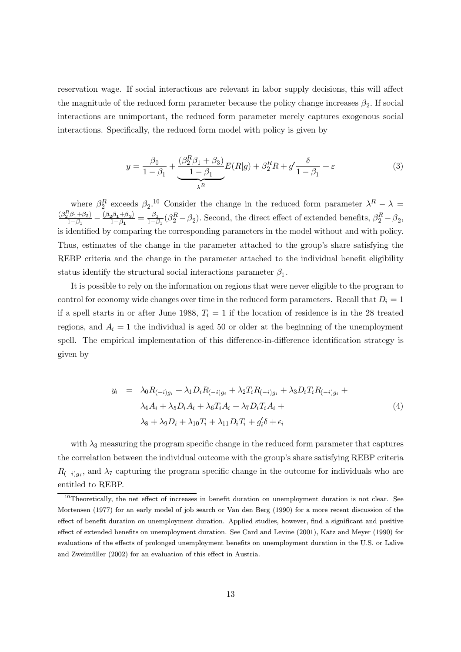reservation wage. If social interactions are relevant in labor supply decisions, this will affect the magnitude of the reduced form parameter because the policy change increases  $\beta_2$ . If social interactions are unimportant, the reduced form parameter merely captures exogenous social interactions. Specifically, the reduced form model with policy is given by

$$
y = \frac{\beta_0}{1 - \beta_1} + \underbrace{\frac{(\beta_2^R \beta_1 + \beta_3)}{1 - \beta_1} E(R|g) + \beta_2^R R + g' \frac{\delta}{1 - \beta_1} + \varepsilon}_{\lambda^R} \tag{3}
$$

where  $\beta_2^R$  exceeds  $\beta_2$ .<sup>10</sup> Consider the change in the reduced form parameter  $\lambda^R - \lambda =$  $\frac{(\beta_2^R \beta_1 + \beta_3)}{1-\beta_1} - \frac{(\beta_2 \beta_1 + \beta_3)}{1-\beta_1} = \frac{\beta_1}{1-\beta_1} (\beta_2^R - \beta_2).$  Second, the direct effect of extended benefits,  $\beta_2^R - \beta_2$ , is identified by comparing the corresponding parameters in the model without and with policy. Thus, estimates of the change in the parameter attached to the group's share satisfying the REBP criteria and the change in the parameter attached to the individual benefit eligibility status identify the structural social interactions parameter  $\beta_1$ .

It is possible to rely on the information on regions that were never eligible to the program to control for economy wide changes over time in the reduced form parameters. Recall that  $D_i = 1$ if a spell starts in or after June 1988,  $T_i = 1$  if the location of residence is in the 28 treated regions, and  $A_i = 1$  the individual is aged 50 or older at the beginning of the unemployment spell. The empirical implementation of this difference-in-difference identification strategy is given by

$$
y_i = \lambda_0 R_{(-i)g_i} + \lambda_1 D_i R_{(-i)g_i} + \lambda_2 T_i R_{(-i)g_i} + \lambda_3 D_i T_i R_{(-i)g_i} +
$$
  
\n
$$
\lambda_4 A_i + \lambda_5 D_i A_i + \lambda_6 T_i A_i + \lambda_7 D_i T_i A_i +
$$
  
\n
$$
\lambda_8 + \lambda_9 D_i + \lambda_{10} T_i + \lambda_{11} D_i T_i + g_i' \delta + \epsilon_i
$$
\n(4)

with  $\lambda_3$  measuring the program specific change in the reduced form parameter that captures the correlation between the individual outcome with the group's share satisfying REBP criteria  $R_{(-i)a_i}$ , and  $\lambda_7$  capturing the program specific change in the outcome for individuals who are entitled to REBP.

 $10$ Theoretically, the net effect of increases in benefit duration on unemployment duration is not clear. See Mortensen (1977) for an early model of job search or Van den Berg (1990) for a more recent discussion of the effect of benefit duration on unemployment duration. Applied studies, however, find a significant and positive effect of extended benefits on unemployment duration. See Card and Levine (2001), Katz and Meyer (1990) for evaluations of the effects of prolonged unemployment benefits on unemployment duration in the U.S. or Lalive and Zweimüller (2002) for an evaluation of this effect in Austria.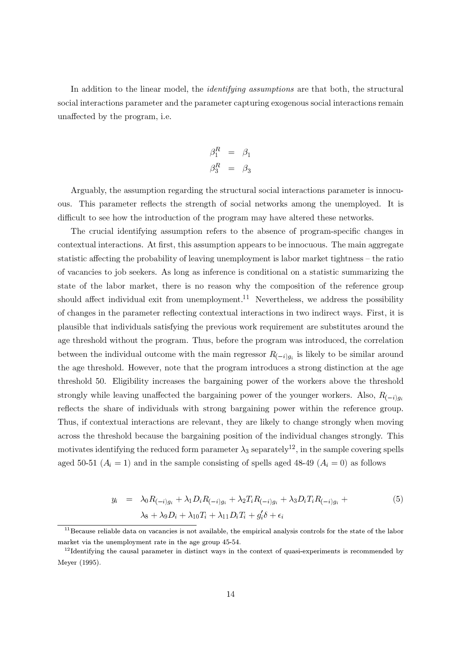In addition to the linear model, the *identifying assumptions* are that both, the structural social interactions parameter and the parameter capturing exogenous social interactions remain unaffected by the program, i.e.

$$
\begin{array}{rcl} \beta_1^R&=&\beta_1\\ \beta_3^R&=&\beta_3 \end{array}
$$

Arguably, the assumption regarding the structural social interactions parameter is innocuous. This parameter reflects the strength of social networks among the unemployed. It is difficult to see how the introduction of the program may have altered these networks.

The crucial identifying assumption refers to the absence of program-specific changes in contextual interactions. At first, this assumption appears to be innocuous. The main aggregate statistic affecting the probability of leaving unemployment is labor market tightness – the ratio of vacancies to job seekers. As long as inference is conditional on a statistic summarizing the state of the labor market, there is no reason why the composition of the reference group should affect individual exit from unemployment.<sup>11</sup> Nevertheless, we address the possibility of changes in the parameter reflecting contextual interactions in two indirect ways. First, it is plausible that individuals satisfying the previous work requirement are substitutes around the age threshold without the program. Thus, before the program was introduced, the correlation between the individual outcome with the main regressor  $R_{(-i)g_i}$  is likely to be similar around the age threshold. However, note that the program introduces a strong distinction at the age threshold 50. Eligibility increases the bargaining power of the workers above the threshold strongly while leaving unaffected the bargaining power of the younger workers. Also,  $R_{(-i)q_i}$ reflects the share of individuals with strong bargaining power within the reference group. Thus, if contextual interactions are relevant, they are likely to change strongly when moving across the threshold because the bargaining position of the individual changes strongly. This motivates identifying the reduced form parameter  $\lambda_3$  separately<sup>12</sup>, in the sample covering spells aged 50-51 ( $A_i = 1$ ) and in the sample consisting of spells aged 48-49 ( $A_i = 0$ ) as follows

$$
y_i = \lambda_0 R_{(-i)g_i} + \lambda_1 D_i R_{(-i)g_i} + \lambda_2 T_i R_{(-i)g_i} + \lambda_3 D_i T_i R_{(-i)g_i} + \lambda_4 D_i T_i R_{(-i)g_i} + \lambda_5 D_i T_i + \lambda_6 D_i T_i + \lambda_7 D_i T_i + g_i' \delta + \epsilon_i
$$
\n
$$
(5)
$$

 $11$ Because reliable data on vacancies is not available, the empirical analysis controls for the state of the labor market via the unemployment rate in the age group 45-54.

 $12$  Identifying the causal parameter in distinct ways in the context of quasi-experiments is recommended by Meyer (1995).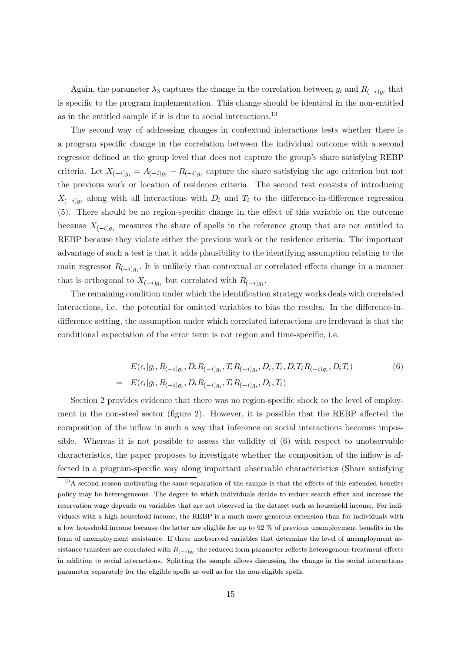Again, the parameter  $\lambda_3$  captures the change in the correlation between  $y_i$  and  $R_{(-i)g_i}$  that is specific to the program implementation. This change should be identical in the non-entitled as in the entitled sample if it is due to social interactions.<sup>13</sup>

The second way of addressing changes in contextual interactions tests whether there is a program specific change in the correlation between the individual outcome with a second regressor defined at the group level that does not capture the group's share satisfying REBP criteria. Let  $X_{(-i)g_i} = A_{(-i)g_i} - R_{(-i)g_i}$  capture the share satisfying the age criterion but not the previous work or location of residence criteria. The second test consists of introducing  $X_{(-i)a_i}$  along with all interactions with  $D_i$  and  $T_i$  to the difference-in-difference regression (5). There should be no region-specific change in the effect of this variable on the outcome because  $X_{(-i)g_i}$  measures the share of spells in the reference group that are not entitled to REBP because they violate either the previous work or the residence criteria. The important advantage of such a test is that it adds plausibility to the identifying assumption relating to the main regressor  $R_{(-i)q_i}$ . It is unlikely that contextual or correlated effects change in a manner that is orthogonal to  $X_{(-i)g_i}$  but correlated with  $R_{(-i)g_i}$ .

The remaining condition under which the identification strategy works deals with correlated interactions, i.e. the potential for omitted variables to bias the results. In the difference-indifference setting, the assumption under which correlated interactions are irrelevant is that the conditional expectation of the error term is not region and time-specific, i.e.

$$
E(\epsilon_i|g_i, R_{(-i)g_i}, D_i R_{(-i)g_i}, T_i R_{(-i)g_i}, D_i, T_i, D_i T_i R_{(-i)g_i}, D_i T_i)
$$
\n
$$
= E(\epsilon_i|g_i, R_{(-i)g_i}, D_i R_{(-i)g_i}, T_i R_{(-i)g_i}, D_i, T_i)
$$
\n(6)

Section 2 provides evidence that there was no region-specific shock to the level of employment in the non-steel sector (figure 2). However, it is possible that the REBP affected the composition of the inflow in such a way that inference on social interactions becomes impossible. Whereas it is not possible to assess the validity of (6) with respect to unobservable characteristics, the paper proposes to investigate whether the composition of the inflow is affected in a program-specific way along important observable characteristics (Share satisfying

 $13A$  second reason motivating the same separation of the sample is that the effects of this extended benefits policy may be heterogeneous. The degree to which individuals decide to reduce search effort and increase the reservation wage depends on variables that are not observed in the dataset such as household income. For individuals with a high household income, the REBP is a much more generous extension than for individuals with a low household income because the latter are eligible for up to 92 % of previous unemployment benefits in the form of unemployment assistance. If these unobserved variables that determine the level of unemployment assistance transfers are correlated with  $R_{(-i)g_i}$  the reduced form parameter reflects heterogenous treatment effects in addition to social interactions. Splitting the sample allows discussing the change in the social interactions parameter separately for the eligible spells as well as for the non-eligible spells.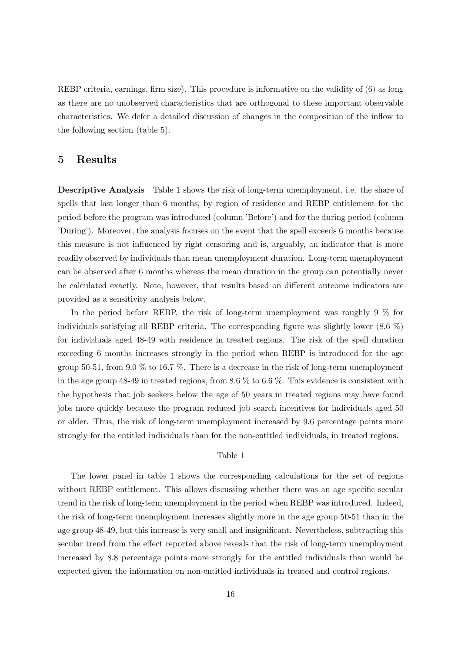REBP criteria, earnings, firm size). This procedure is informative on the validity of (6) as long as there are no unobserved characteristics that are orthogonal to these important observable characteristics. We defer a detailed discussion of changes in the composition of the inflow to the following section (table 5).

#### $\overline{5}$ **Results**

**Descriptive Analysis** Table 1 shows the risk of long-term unemployment, i.e. the share of spells that last longer than 6 months, by region of residence and REBP entitlement for the period before the program was introduced (column 'Before') and for the during period (column 'During'). Moreover, the analysis focuses on the event that the spell exceeds 6 months because this measure is not influenced by right censoring and is, arguably, an indicator that is more readily observed by individuals than mean unemployment duration. Long-term unemployment can be observed after 6 months whereas the mean duration in the group can potentially never be calculated exactly. Note, however, that results based on different outcome indicators are provided as a sensitivity analysis below.

In the period before REBP, the risk of long-term unemployment was roughly 9  $\%$  for individuals satisfying all REBP criteria. The corresponding figure was slightly lower  $(8.6\%)$ for individuals aged 48-49 with residence in treated regions. The risk of the spell duration exceeding 6 months increases strongly in the period when REBP is introduced for the age group 50-51, from 9.0  $\%$  to 16.7  $\%$ . There is a decrease in the risk of long-term unemployment in the age group 48-49 in treated regions, from 8.6  $\%$  to 6.6  $\%$ . This evidence is consistent with the hypothesis that job seekers below the age of 50 years in treated regions may have found jobs more quickly because the program reduced job search incentives for individuals aged 50 or older. Thus, the risk of long-term unemployment increased by 9.6 percentage points more strongly for the entitled individuals than for the non-entitled individuals, in treated regions.

#### Table 1

The lower panel in table 1 shows the corresponding calculations for the set of regions without REBP entitlement. This allows discussing whether there was an age specific secular trend in the risk of long-term unemployment in the period when REBP was introduced. Indeed, the risk of long-term unemployment increases slightly more in the age group 50-51 than in the age group 48-49, but this increase is very small and insignificant. Nevertheless, subtracting this secular trend from the effect reported above reveals that the risk of long-term unemployment increased by 8.8 percentage points more strongly for the entitled individuals than would be expected given the information on non-entitled individuals in treated and control regions.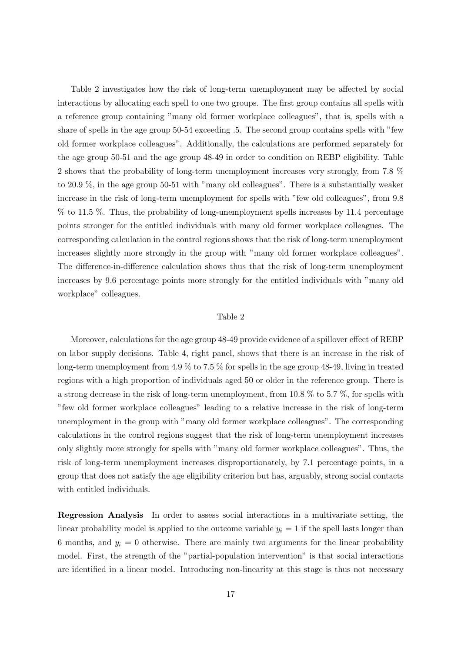Table 2 investigates how the risk of long-term unemployment may be affected by social interactions by allocating each spell to one two groups. The first group contains all spells with a reference group containing "many old former workplace colleagues", that is, spells with a share of spells in the age group 50-54 exceeding .5. The second group contains spells with "few old former workplace colleagues". Additionally, the calculations are performed separately for the age group 50-51 and the age group 48-49 in order to condition on REBP eligibility. Table 2 shows that the probability of long-term unemployment increases very strongly, from 7.8 % to 20.9  $\%$ , in the age group 50-51 with "many old colleagues". There is a substantially weaker increase in the risk of long-term unemployment for spells with "few old colleagues", from 9.8 % to 11.5 %. Thus, the probability of long-unemployment spells increases by 11.4 percentage points stronger for the entitled individuals with many old former workplace colleagues. The corresponding calculation in the control regions shows that the risk of long-term unemployment increases slightly more strongly in the group with "many old former workplace colleagues". The difference-in-difference calculation shows thus that the risk of long-term unemployment increases by 9.6 percentage points more strongly for the entitled individuals with "many old" workplace" colleagues.

#### Table 2

Moreover, calculations for the age group 48-49 provide evidence of a spillover effect of REBP on labor supply decisions. Table 4, right panel, shows that there is an increase in the risk of long-term unemployment from 4.9  $\%$  to 7.5  $\%$  for spells in the age group 48-49, living in treated regions with a high proportion of individuals aged 50 or older in the reference group. There is a strong decrease in the risk of long-term unemployment, from 10.8  $\%$  to 5.7  $\%$ , for spells with "few old former workplace colleagues" leading to a relative increase in the risk of long-term unemployment in the group with "many old former workplace colleagues". The corresponding calculations in the control regions suggest that the risk of long-term unemployment increases only slightly more strongly for spells with "many old former workplace colleagues". Thus, the risk of long-term unemployment increases disproportionately, by 7.1 percentage points, in a group that does not satisfy the age eligibility criterion but has, arguably, strong social contacts with entitled individuals.

**Regression Analysis** In order to assess social interactions in a multivariate setting, the linear probability model is applied to the outcome variable  $y_i = 1$  if the spell lasts longer than 6 months, and  $y_i = 0$  otherwise. There are mainly two arguments for the linear probability model. First, the strength of the "partial-population intervention" is that social interactions are identified in a linear model. Introducing non-linearity at this stage is thus not necessary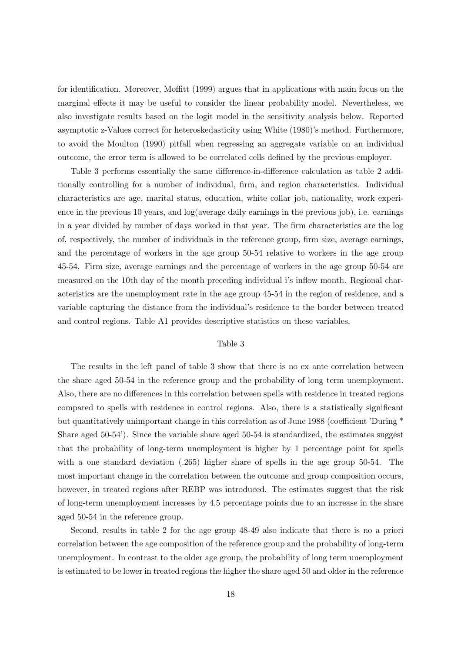for identification. Moreover, Moffitt (1999) argues that in applications with main focus on the marginal effects it may be useful to consider the linear probability model. Nevertheless, we also investigate results based on the logit model in the sensitivity analysis below. Reported asymptotic z-Values correct for heteroskedasticity using White (1980)'s method. Furthermore, to avoid the Moulton (1990) pitfall when regressing an aggregate variable on an individual outcome, the error term is allowed to be correlated cells defined by the previous employer.

Table 3 performs essentially the same difference-in-difference calculation as table 2 additionally controlling for a number of individual, firm, and region characteristics. Individual characteristics are age, marital status, education, white collar job, nationality, work experience in the previous 10 years, and  $log(average \ daily \ earnings$  in the previous job), i.e. earnings in a year divided by number of days worked in that year. The firm characteristics are the log of, respectively, the number of individuals in the reference group, firm size, average earnings, and the percentage of workers in the age group 50-54 relative to workers in the age group 45-54. Firm size, average earnings and the percentage of workers in the age group 50-54 are measured on the 10th day of the month preceding individual i's inflow month. Regional characteristics are the unemployment rate in the age group 45-54 in the region of residence, and a variable capturing the distance from the individual's residence to the border between treated and control regions. Table A1 provides descriptive statistics on these variables.

#### Table 3

The results in the left panel of table 3 show that there is no ex ante correlation between the share aged 50-54 in the reference group and the probability of long term unemployment. Also, there are no differences in this correlation between spells with residence in treated regions compared to spells with residence in control regions. Also, there is a statistically significant but quantitatively unimportant change in this correlation as of June 1988 (coefficient 'During \* Share aged  $50-54$ ). Since the variable share aged  $50-54$  is standardized, the estimates suggest that the probability of long-term unemployment is higher by 1 percentage point for spells with a one standard deviation  $(.265)$  higher share of spells in the age group 50-54. The most important change in the correlation between the outcome and group composition occurs, however, in treated regions after REBP was introduced. The estimates suggest that the risk of long-term unemployment increases by 4.5 percentage points due to an increase in the share aged 50-54 in the reference group.

Second, results in table 2 for the age group 48-49 also indicate that there is no a priori correlation between the age composition of the reference group and the probability of long-term unemployment. In contrast to the older age group, the probability of long term unemployment is estimated to be lower in treated regions the higher the share aged 50 and older in the reference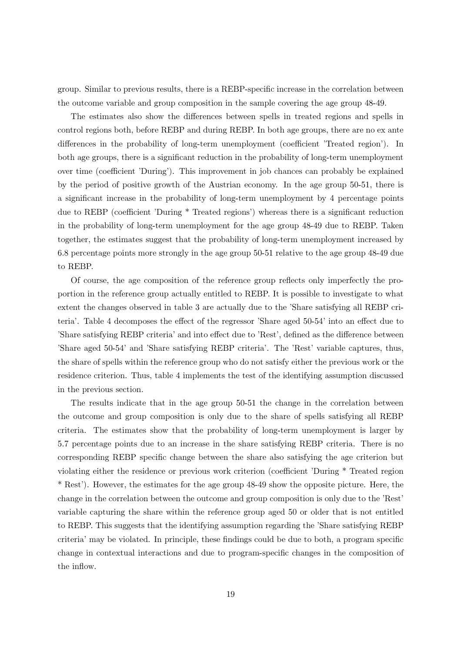group. Similar to previous results, there is a REBP-specific increase in the correlation between the outcome variable and group composition in the sample covering the age group 48-49.

The estimates also show the differences between spells in treated regions and spells in control regions both, before REBP and during REBP. In both age groups, there are no ex ante differences in the probability of long-term unemployment (coefficient 'Treated region'). In both age groups, there is a significant reduction in the probability of long-term unemployment over time (coefficient 'During'). This improvement in job chances can probably be explained by the period of positive growth of the Austrian economy. In the age group 50-51, there is a significant increase in the probability of long-term unemployment by 4 percentage points due to REBP (coefficient 'During \* Treated regions') whereas there is a significant reduction in the probability of long-term unemployment for the age group 48-49 due to REBP. Taken together, the estimates suggest that the probability of long-term unemployment increased by 6.8 percentage points more strongly in the age group 50-51 relative to the age group 48-49 due to REBP.

Of course, the age composition of the reference group reflects only imperfectly the proportion in the reference group actually entitled to REBP. It is possible to investigate to what extent the changes observed in table 3 are actually due to the 'Share satisfying all REBP criteria'. Table 4 decomposes the effect of the regressor 'Share aged 50-54' into an effect due to 'Share satisfying REBP criteria' and into effect due to 'Rest', defined as the difference between 'Share aged 50-54' and 'Share satisfying REBP criteria'. The 'Rest' variable captures, thus, the share of spells within the reference group who do not satisfy either the previous work or the residence criterion. Thus, table 4 implements the test of the identifying assumption discussed in the previous section.

The results indicate that in the age group 50-51 the change in the correlation between the outcome and group composition is only due to the share of spells satisfying all REBP criteria. The estimates show that the probability of long-term unemployment is larger by 5.7 percentage points due to an increase in the share satisfying REBP criteria. There is no corresponding REBP specific change between the share also satisfying the age criterion but violating either the residence or previous work criterion (coefficient 'During \* Treated region \* Rest'). However, the estimates for the age group 48-49 show the opposite picture. Here, the change in the correlation between the outcome and group composition is only due to the 'Rest' variable capturing the share within the reference group aged 50 or older that is not entitled to REBP. This suggests that the identifying assumption regarding the 'Share satisfying REBP criteria' may be violated. In principle, these findings could be due to both, a program specific change in contextual interactions and due to program-specific changes in the composition of the inflow.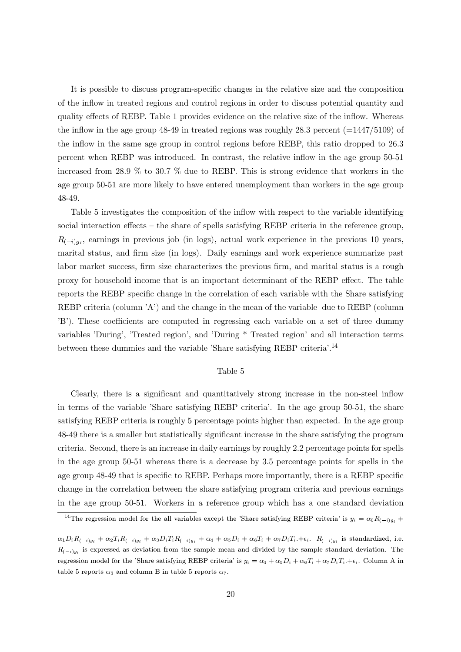It is possible to discuss program-specific changes in the relative size and the composition of the inflow in treated regions and control regions in order to discuss potential quantity and quality effects of REBP. Table 1 provides evidence on the relative size of the inflow. Whereas the inflow in the age group 48-49 in treated regions was roughly 28.3 percent  $(=1447/5109)$  of the inflow in the same age group in control regions before REBP, this ratio dropped to 26.3 percent when REBP was introduced. In contrast, the relative inflow in the age group 50-51 increased from 28.9  $\%$  to 30.7  $\%$  due to REBP. This is strong evidence that workers in the age group 50-51 are more likely to have entered unemployment than workers in the age group 48-49.

Table 5 investigates the composition of the inflow with respect to the variable identifying social interaction effects – the share of spells satisfying REBP criteria in the reference group,  $R_{(-i)q_i}$ , earnings in previous job (in logs), actual work experience in the previous 10 years, marital status, and firm size (in logs). Daily earnings and work experience summarize past labor market success, firm size characterizes the previous firm, and marital status is a rough proxy for household income that is an important determinant of the REBP effect. The table reports the REBP specific change in the correlation of each variable with the Share satisfying REBP criteria (column 'A') and the change in the mean of the variable due to REBP (column 'B'). These coefficients are computed in regressing each variable on a set of three dummy variables 'During', 'Treated region', and 'During \* Treated region' and all interaction terms between these dummies and the variable 'Share satisfying REBP criteria'.<sup>14</sup>

#### Table 5

Clearly, there is a significant and quantitatively strong increase in the non-steel inflow in terms of the variable 'Share satisfying REBP criteria'. In the age group 50-51, the share satisfying REBP criteria is roughly 5 percentage points higher than expected. In the age group 48-49 there is a smaller but statistically significant increase in the share satisfying the program criteria. Second, there is an increase in daily earnings by roughly 2.2 percentage points for spells in the age group 50-51 whereas there is a decrease by 3.5 percentage points for spells in the age group 48-49 that is specific to REBP. Perhaps more importantly, there is a REBP specific change in the correlation between the share satisfying program criteria and previous earnings in the age group 50-51. Workers in a reference group which has a one standard deviation

<sup>&</sup>lt;sup>14</sup>The regression model for the all variables except the 'Share satisfying REBP criteria' is  $y_i = \alpha_0 R_{(-i)g_i} +$ 

 $\alpha_1 D_i R_{(-i)g_i} + \alpha_2 T_i R_{(-i)g_i} + \alpha_3 D_i T_i R_{(-i)g_i} + \alpha_4 + \alpha_5 D_i + \alpha_6 T_i + \alpha_7 D_i T_i + \epsilon_i$ .  $R_{(-i)g_i}$  is standardized, i.e.  $R_{(-i)g_i}$  is expressed as deviation from the sample mean and divided by the sample standard deviation. The regression model for the 'Share satisfying REBP criteria' is  $y_i = \alpha_4 + \alpha_5 D_i + \alpha_6 T_i + \alpha_7 D_i T_i + \epsilon_i$ . Column A in table 5 reports  $\alpha_3$  and column B in table 5 reports  $\alpha_7$ .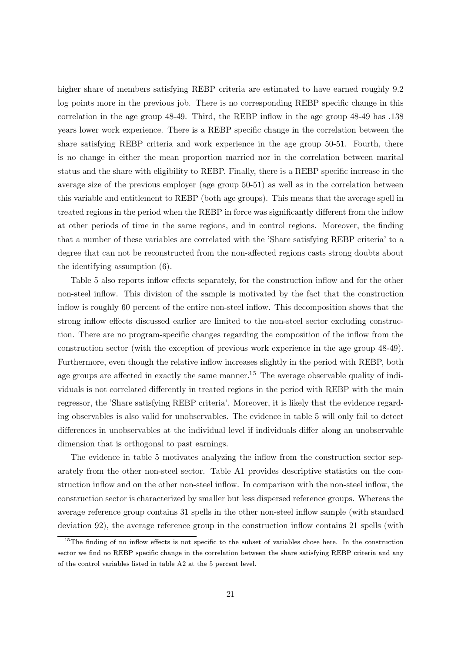higher share of members satisfying REBP criteria are estimated to have earned roughly 9.2 log points more in the previous job. There is no corresponding REBP specific change in this correlation in the age group 48-49. Third, the REBP inflow in the age group 48-49 has .138 years lower work experience. There is a REBP specific change in the correlation between the share satisfying REBP criteria and work experience in the age group 50-51. Fourth, there is no change in either the mean proportion married nor in the correlation between marital status and the share with eligibility to REBP. Finally, there is a REBP specific increase in the average size of the previous employer (age group 50-51) as well as in the correlation between this variable and entitlement to REBP (both age groups). This means that the average spell in treated regions in the period when the REBP in force was significantly different from the inflow at other periods of time in the same regions, and in control regions. Moreover, the finding that a number of these variables are correlated with the 'Share satisfying REBP criteria' to a degree that can not be reconstructed from the non-affected regions casts strong doubts about the identifying assumption  $(6)$ .

Table 5 also reports inflow effects separately, for the construction inflow and for the other non-steel inflow. This division of the sample is motivated by the fact that the construction inflow is roughly 60 percent of the entire non-steel inflow. This decomposition shows that the strong inflow effects discussed earlier are limited to the non-steel sector excluding construction. There are no program-specific changes regarding the composition of the inflow from the construction sector (with the exception of previous work experience in the age group 48-49). Furthermore, even though the relative inflow increases slightly in the period with REBP, both age groups are affected in exactly the same manner.<sup>15</sup> The average observable quality of individuals is not correlated differently in treated regions in the period with REBP with the main regressor, the 'Share satisfying REBP criteria'. Moreover, it is likely that the evidence regarding observables is also valid for unobservables. The evidence in table 5 will only fail to detect differences in unobservables at the individual level if individuals differ along an unobservable dimension that is orthogonal to past earnings.

The evidence in table 5 motivates analyzing the inflow from the construction sector separately from the other non-steel sector. Table A1 provides descriptive statistics on the construction inflow and on the other non-steel inflow. In comparison with the non-steel inflow, the construction sector is characterized by smaller but less dispersed reference groups. Whereas the average reference group contains 31 spells in the other non-steel inflow sample (with standard deviation 92), the average reference group in the construction inflow contains 21 spells (with

<sup>&</sup>lt;sup>15</sup>The finding of no inflow effects is not specific to the subset of variables chose here. In the construction sector we find no REBP specific change in the correlation between the share satisfying REBP criteria and any of the control variables listed in table A2 at the 5 percent level.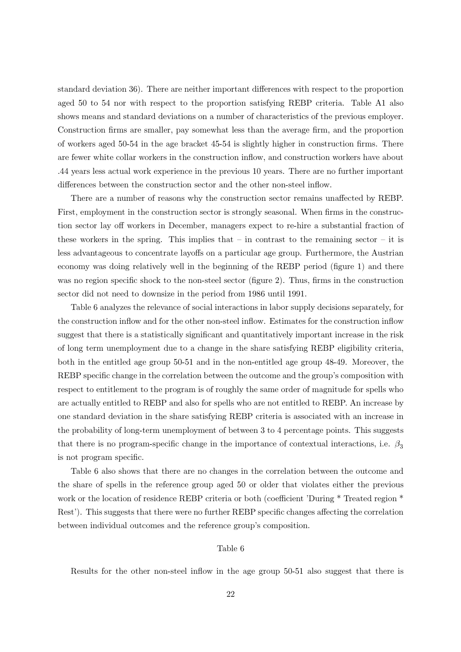standard deviation 36). There are neither important differences with respect to the proportion aged 50 to 54 nor with respect to the proportion satisfying REBP criteria. Table A1 also shows means and standard deviations on a number of characteristics of the previous employer. Construction firms are smaller, pay somewhat less than the average firm, and the proportion of workers aged 50-54 in the age bracket 45-54 is slightly higher in construction firms. There are fewer white collar workers in the construction inflow, and construction workers have about .44 years less actual work experience in the previous 10 years. There are no further important differences between the construction sector and the other non-steel inflow.

There are a number of reasons why the construction sector remains unaffected by REBP. First, employment in the construction sector is strongly seasonal. When firms in the construction sector lay off workers in December, managers expect to re-hire a substantial fraction of these workers in the spring. This implies that  $-$  in contrast to the remaining sector  $-$  it is less advantageous to concentrate layoffs on a particular age group. Furthermore, the Austrian economy was doing relatively well in the beginning of the REBP period (figure 1) and there was no region specific shock to the non-steel sector (figure 2). Thus, firms in the construction sector did not need to downsize in the period from 1986 until 1991.

Table 6 analyzes the relevance of social interactions in labor supply decisions separately, for the construction inflow and for the other non-steel inflow. Estimates for the construction inflow suggest that there is a statistically significant and quantitatively important increase in the risk of long term unemployment due to a change in the share satisfying REBP eligibility criteria, both in the entitled age group 50-51 and in the non-entitled age group 48-49. Moreover, the REBP specific change in the correlation between the outcome and the group's composition with respect to entitlement to the program is of roughly the same order of magnitude for spells who are actually entitled to REBP and also for spells who are not entitled to REBP. An increase by one standard deviation in the share satisfying REBP criteria is associated with an increase in the probability of long-term unemployment of between 3 to 4 percentage points. This suggests that there is no program-specific change in the importance of contextual interactions, i.e.  $\beta_3$ is not program specific.

Table 6 also shows that there are no changes in the correlation between the outcome and the share of spells in the reference group aged 50 or older that violates either the previous work or the location of residence REBP criteria or both (coefficient 'During \* Treated region \* Rest'). This suggests that there were no further REBP specific changes affecting the correlation between individual outcomes and the reference group's composition.

#### Table 6

Results for the other non-steel inflow in the age group 50-51 also suggest that there is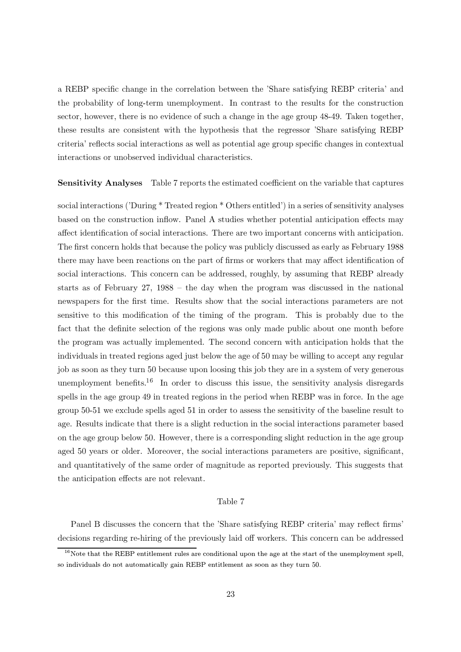a REBP specific change in the correlation between the 'Share satisfying REBP criteria' and the probability of long-term unemployment. In contrast to the results for the construction sector, however, there is no evidence of such a change in the age group 48-49. Taken together, these results are consistent with the hypothesis that the regressor 'Share satisfying REBP criteria' reflects social interactions as well as potential age group specific changes in contextual interactions or unobserved individual characteristics.

**Sensitivity Analyses** Table 7 reports the estimated coefficient on the variable that captures

social interactions ('During \* Treated region \* Others entitled') in a series of sensitivity analyses based on the construction inflow. Panel A studies whether potential anticipation effects may affect identification of social interactions. There are two important concerns with anticipation. The first concern holds that because the policy was publicly discussed as early as February 1988 there may have been reactions on the part of firms or workers that may affect identification of social interactions. This concern can be addressed, roughly, by assuming that REBP already starts as of February  $27, 1988$  – the day when the program was discussed in the national newspapers for the first time. Results show that the social interactions parameters are not sensitive to this modification of the timing of the program. This is probably due to the fact that the definite selection of the regions was only made public about one month before the program was actually implemented. The second concern with anticipation holds that the individuals in treated regions aged just below the age of 50 may be willing to accept any regular job as soon as they turn 50 because upon loosing this job they are in a system of very generous unemployment benefits.<sup>16</sup> In order to discuss this issue, the sensitivity analysis disregards spells in the age group 49 in treated regions in the period when REBP was in force. In the age group 50-51 we exclude spells aged 51 in order to assess the sensitivity of the baseline result to age. Results indicate that there is a slight reduction in the social interactions parameter based on the age group below 50. However, there is a corresponding slight reduction in the age group aged 50 years or older. Moreover, the social interactions parameters are positive, significant, and quantitatively of the same order of magnitude as reported previously. This suggests that the anticipation effects are not relevant.

#### Table 7

Panel B discusses the concern that the 'Share satisfying REBP criteria' may reflect firms' decisions regarding re-hiring of the previously laid off workers. This concern can be addressed

 $16$ Note that the REBP entitlement rules are conditional upon the age at the start of the unemployment spell, so individuals do not automatically gain REBP entitlement as soon as they turn 50.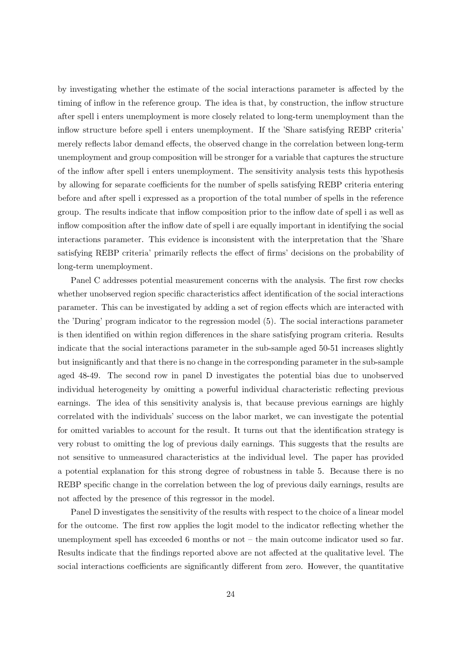by investigating whether the estimate of the social interactions parameter is affected by the timing of inflow in the reference group. The idea is that, by construction, the inflow structure after spell i enters unemployment is more closely related to long-term unemployment than the inflow structure before spell i enters unemployment. If the 'Share satisfying REBP criteria' merely reflects labor demand effects, the observed change in the correlation between long-term unemployment and group composition will be stronger for a variable that captures the structure of the inflow after spell i enters unemployment. The sensitivity analysis tests this hypothesis by allowing for separate coefficients for the number of spells satisfying REBP criteria entering before and after spell i expressed as a proportion of the total number of spells in the reference group. The results indicate that inflow composition prior to the inflow date of spell i as well as inflow composition after the inflow date of spell i are equally important in identifying the social interactions parameter. This evidence is inconsistent with the interpretation that the 'Share' satisfying REBP criteria' primarily reflects the effect of firms' decisions on the probability of long-term unemployment.

Panel C addresses potential measurement concerns with the analysis. The first row checks whether unobserved region specific characteristics affect identification of the social interactions parameter. This can be investigated by adding a set of region effects which are interacted with the 'During' program indicator to the regression model (5). The social interactions parameter is then identified on within region differences in the share satisfying program criteria. Results indicate that the social interactions parameter in the sub-sample aged 50-51 increases slightly but insignificantly and that there is no change in the corresponding parameter in the sub-sample aged 48-49. The second row in panel D investigates the potential bias due to unobserved individual heterogeneity by omitting a powerful individual characteristic reflecting previous earnings. The idea of this sensitivity analysis is, that because previous earnings are highly correlated with the individuals' success on the labor market, we can investigate the potential for omitted variables to account for the result. It turns out that the identification strategy is very robust to omitting the log of previous daily earnings. This suggests that the results are not sensitive to unmeasured characteristics at the individual level. The paper has provided a potential explanation for this strong degree of robustness in table 5. Because there is no REBP specific change in the correlation between the log of previous daily earnings, results are not affected by the presence of this regressor in the model.

Panel D investigates the sensitivity of the results with respect to the choice of a linear model for the outcome. The first row applies the logit model to the indicator reflecting whether the unemployment spell has exceeded  $6$  months or not  $-$  the main outcome indicator used so far. Results indicate that the findings reported above are not affected at the qualitative level. The social interactions coefficients are significantly different from zero. However, the quantitative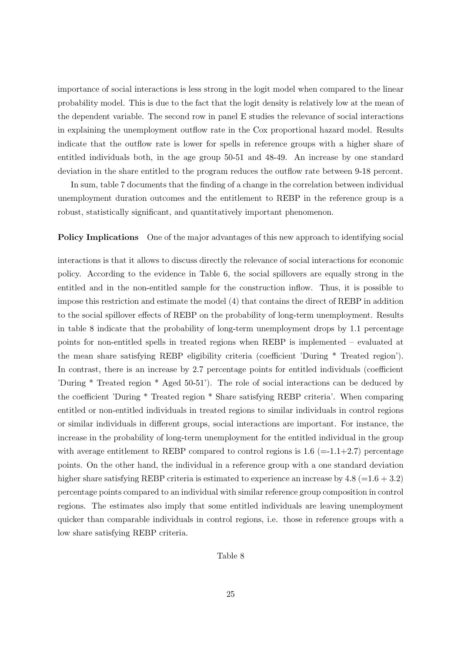importance of social interactions is less strong in the logit model when compared to the linear probability model. This is due to the fact that the logit density is relatively low at the mean of the dependent variable. The second row in panel E studies the relevance of social interactions in explaining the unemployment outflow rate in the Cox proportional hazard model. Results indicate that the outflow rate is lower for spells in reference groups with a higher share of entitled individuals both, in the age group 50-51 and 48-49. An increase by one standard deviation in the share entitled to the program reduces the outflow rate between 9-18 percent.

In sum, table 7 documents that the finding of a change in the correlation between individual unemployment duration outcomes and the entitlement to REBP in the reference group is a robust, statistically significant, and quantitatively important phenomenon.

#### **Policy Implications** One of the major advantages of this new approach to identifying social

interactions is that it allows to discuss directly the relevance of social interactions for economic policy. According to the evidence in Table 6, the social spillovers are equally strong in the entitled and in the non-entitled sample for the construction inflow. Thus, it is possible to impose this restriction and estimate the model (4) that contains the direct of REBP in addition to the social spillover effects of REBP on the probability of long-term unemployment. Results in table 8 indicate that the probability of long-term unemployment drops by 1.1 percentage points for non-entitled spells in treated regions when REBP is implemented – evaluated at the mean share satisfying REBP eligibility criteria (coefficient 'During \* Treated region'). In contrast, there is an increase by 2.7 percentage points for entitled individuals (coefficient 'During \* Treated region \* Aged 50-51'). The role of social interactions can be deduced by the coefficient 'During \* Treated region \* Share satisfying REBP criteria'. When comparing entitled or non-entitled individuals in treated regions to similar individuals in control regions or similar individuals in different groups, social interactions are important. For instance, the increase in the probability of long-term unemployment for the entitled individual in the group with average entitlement to REBP compared to control regions is  $1.6$  (=-1.1+2.7) percentage points. On the other hand, the individual in a reference group with a one standard deviation higher share satisfying REBP criteria is estimated to experience an increase by  $4.8$  (=1.6 + 3.2) percentage points compared to an individual with similar reference group composition in control regions. The estimates also imply that some entitled individuals are leaving unemployment quicker than comparable individuals in control regions, i.e. those in reference groups with a low share satisfying REBP criteria.

#### Table 8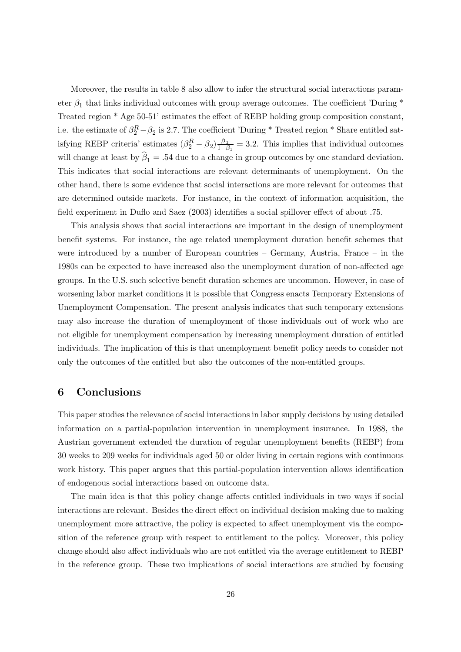Moreover, the results in table 8 also allow to infer the structural social interactions parameter  $\beta_1$  that links individual outcomes with group average outcomes. The coefficient 'During \* Treated region \* Age 50-51' estimates the effect of REBP holding group composition constant, i.e. the estimate of  $\beta_2^R - \beta_2$  is 2.7. The coefficient 'During \* Treated region \* Share entitled satisfying REBP criteria' estimates  $(\beta_2^R - \beta_2) \frac{\beta_1}{1-\beta_1} = 3.2$ . This implies that individual outcomes will change at least by  $\hat{\beta}_1 = .54$  due to a change in group outcomes by one standard deviation. This indicates that social interactions are relevant determinants of unemployment. On the other hand, there is some evidence that social interactions are more relevant for outcomes that are determined outside markets. For instance, in the context of information acquisition, the field experiment in Duflo and Saez (2003) identifies a social spillover effect of about .75.

This analysis shows that social interactions are important in the design of unemployment benefit systems. For instance, the age related unemployment duration benefit schemes that were introduced by a number of European countries  $-$  Germany, Austria, France  $-$  in the 1980s can be expected to have increased also the unemployment duration of non-affected age groups. In the U.S. such selective benefit duration schemes are uncommon. However, in case of worsening labor market conditions it is possible that Congress enacts Temporary Extensions of Unemployment Compensation. The present analysis indicates that such temporary extensions may also increase the duration of unemployment of those individuals out of work who are not eligible for unemployment compensation by increasing unemployment duration of entitled individuals. The implication of this is that unemployment benefit policy needs to consider not only the outcomes of the entitled but also the outcomes of the non-entitled groups.

#### 6 Conclusions

This paper studies the relevance of social interactions in labor supply decisions by using detailed information on a partial-population intervention in unemployment insurance. In 1988, the Austrian government extended the duration of regular unemployment benefits (REBP) from 30 weeks to 209 weeks for individuals aged 50 or older living in certain regions with continuous work history. This paper argues that this partial-population intervention allows identification of endogenous social interactions based on outcome data.

The main idea is that this policy change affects entitled individuals in two ways if social interactions are relevant. Besides the direct effect on individual decision making due to making unemployment more attractive, the policy is expected to affect unemployment via the composition of the reference group with respect to entitlement to the policy. Moreover, this policy change should also affect individuals who are not entitled via the average entitlement to REBP in the reference group. These two implications of social interactions are studied by focusing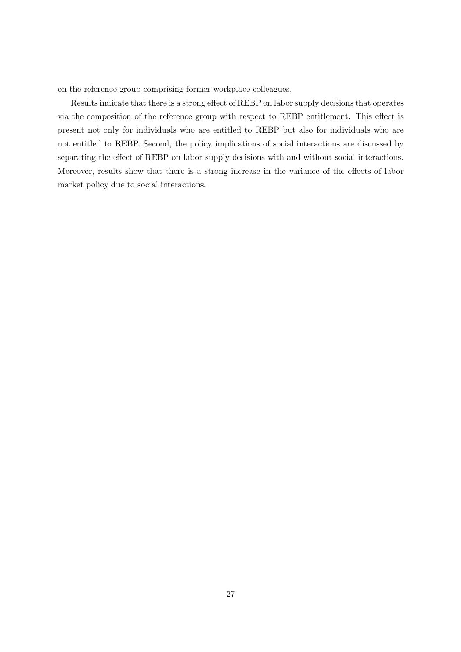on the reference group comprising former workplace colleagues.

Results indicate that there is a strong effect of REBP on labor supply decisions that operates via the composition of the reference group with respect to REBP entitlement. This effect is present not only for individuals who are entitled to REBP but also for individuals who are not entitled to REBP. Second, the policy implications of social interactions are discussed by separating the effect of REBP on labor supply decisions with and without social interactions. Moreover, results show that there is a strong increase in the variance of the effects of labor market policy due to social interactions.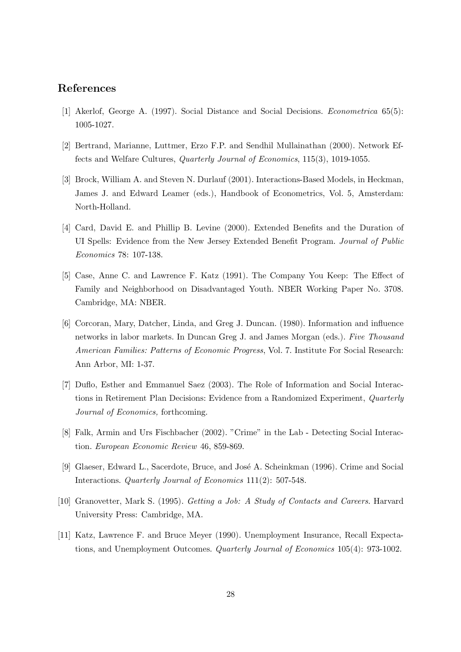## References

- [1] Akerlof, George A. (1997). Social Distance and Social Decisions. *Econometrica* 65(5): 1005-1027.
- [2] Bertrand, Marianne, Luttmer, Erzo F.P. and Sendhil Mullainathan (2000). Network Effects and Welfare Cultures, *Quarterly Journal of Economics*, 115(3), 1019-1055.
- [3] Brock, William A. and Steven N. Durlauf (2001). Interactions-Based Models, in Heckman, James J. and Edward Leamer (eds.), Handbook of Econometrics, Vol. 5, Amsterdam: North-Holland.
- [4] Card, David E. and Phillip B. Levine (2000). Extended Benefits and the Duration of UI Spells: Evidence from the New Jersey Extended Benefit Program. Journal of Public Economics 78: 107-138.
- [5] Case, Anne C. and Lawrence F. Katz (1991). The Company You Keep: The Effect of Family and Neighborhood on Disadvantaged Youth. NBER Working Paper No. 3708. Cambridge, MA: NBER.
- [6] Corcoran, Mary, Datcher, Linda, and Greg J. Duncan. (1980). Information and influence networks in labor markets. In Duncan Greg J. and James Morgan (eds.). Five Thousand American Families: Patterns of Economic Progress, Vol. 7. Institute For Social Research: Ann Arbor, MI: 1-37.
- [7] Duflo, Esther and Emmanuel Saez (2003). The Role of Information and Social Interactions in Retirement Plan Decisions: Evidence from a Randomized Experiment, Quarterly Journal of Economics, forthcoming.
- [8] Falk, Armin and Urs Fischbacher (2002). "Crime" in the Lab Detecting Social Interaction. European Economic Review 46, 859-869.
- [9] Glaeser, Edward L., Sacerdote, Bruce, and José A. Scheinkman (1996). Crime and Social Interactions. *Quarterly Journal of Economics* 111(2): 507-548.
- [10] Granovetter, Mark S. (1995). *Getting a Job: A Study of Contacts and Careers*. Harvard University Press: Cambridge, MA.
- [11] Katz, Lawrence F. and Bruce Meyer (1990). Unemployment Insurance, Recall Expectations, and Unemployment Outcomes. Quarterly Journal of Economics 105(4): 973-1002.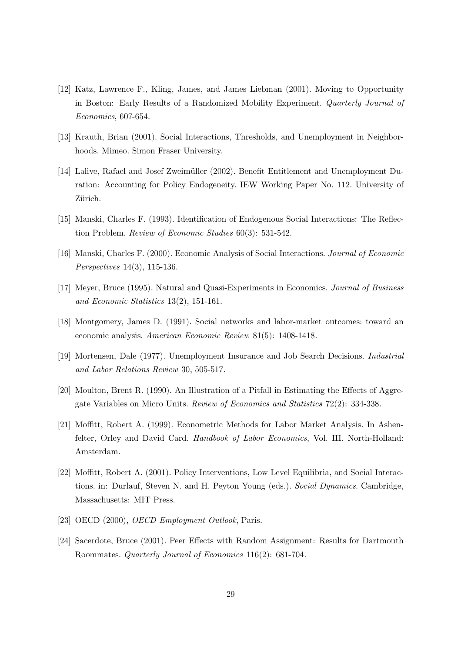- [12] Katz, Lawrence F., Kling, James, and James Liebman (2001). Moving to Opportunity in Boston: Early Results of a Randomized Mobility Experiment. Quarterly Journal of  $Economics, 607-654.$
- [13] Krauth, Brian (2001). Social Interactions, Thresholds, and Unemployment in Neighborhoods. Mimeo. Simon Fraser University.
- [14] Lalive, Rafael and Josef Zweimüller (2002). Benefit Entitlement and Unemployment Duration: Accounting for Policy Endogeneity. IEW Working Paper No. 112. University of Zürich.
- [15] Manski, Charles F. (1993). Identification of Endogenous Social Interactions: The Reflection Problem. Review of Economic Studies 60(3): 531-542.
- [16] Manski, Charles F. (2000). Economic Analysis of Social Interactions. Journal of Economic *Perspectives* 14(3), 115-136.
- [17] Meyer, Bruce (1995). Natural and Quasi-Experiments in Economics. Journal of Business and Economic Statistics  $13(2)$ , 151-161.
- [18] Montgomery, James D. (1991). Social networks and labor-market outcomes: toward an economic analysis. American Economic Review 81(5): 1408-1418.
- [19] Mortensen, Dale (1977). Unemployment Insurance and Job Search Decisions. *Industrial* and Labor Relations Review 30, 505-517.
- [20] Moulton, Brent R. (1990). An Illustration of a Pitfall in Estimating the Effects of Aggregate Variables on Micro Units. Review of Economics and Statistics 72(2): 334-338.
- [21] Moffitt, Robert A. (1999). Econometric Methods for Labor Market Analysis. In Ashenfelter, Orley and David Card. *Handbook of Labor Economics*, Vol. III. North-Holland: Amsterdam.
- [22] Moffitt, Robert A. (2001). Policy Interventions, Low Level Equilibria, and Social Interactions. in: Durlauf, Steven N. and H. Peyton Young (eds.). Social Dynamics. Cambridge, Massachusetts: MIT Press.
- [23] OECD (2000), *OECD Employment Outlook*, Paris.
- [24] Sacerdote, Bruce (2001). Peer Effects with Random Assignment: Results for Dartmouth Roommates. Quarterly Journal of Economics 116(2): 681-704.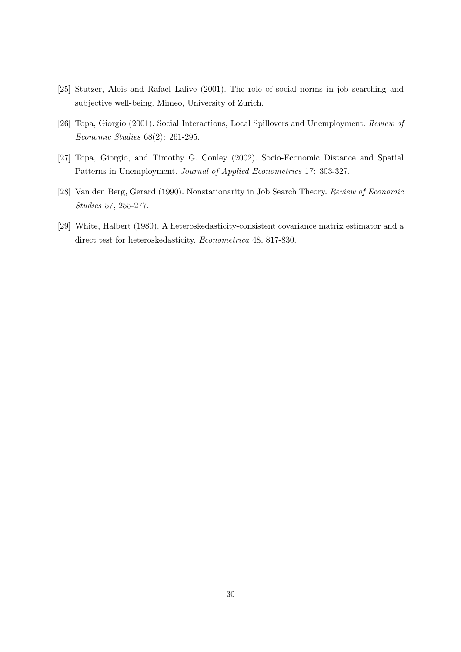- [25] Stutzer, Alois and Rafael Lalive (2001). The role of social norms in job searching and subjective well-being. Mimeo, University of Zurich.
- [26] Topa, Giorgio (2001). Social Interactions, Local Spillovers and Unemployment. Review of  $Economic\ Studies\ 68(2):\ 261-295.$
- [27] Topa, Giorgio, and Timothy G. Conley (2002). Socio-Economic Distance and Spatial Patterns in Unemployment. Journal of Applied Econometrics 17: 303-327.
- [28] Van den Berg, Gerard (1990). Nonstationarity in Job Search Theory. Review of Economic Studies 57, 255-277.
- [29] White, Halbert (1980). A heteroskedasticity-consistent covariance matrix estimator and a direct test for heteroskedasticity. Econometrica 48, 817-830.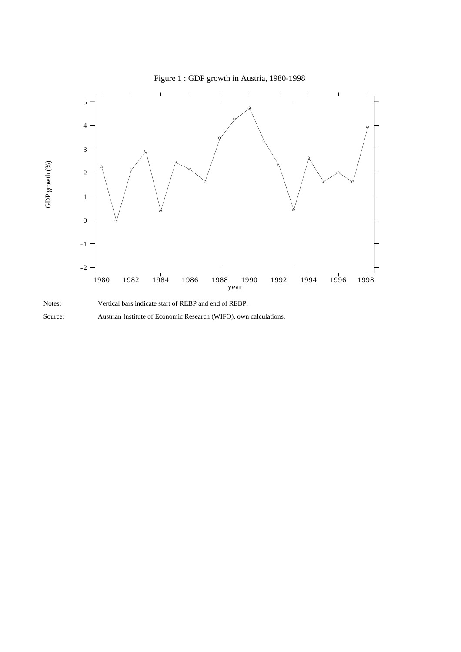



Source:

Austrian Institute of Economic Research (WIFO), own calculations.

## Figure 1 : GDP growth in Austria, 1980-1998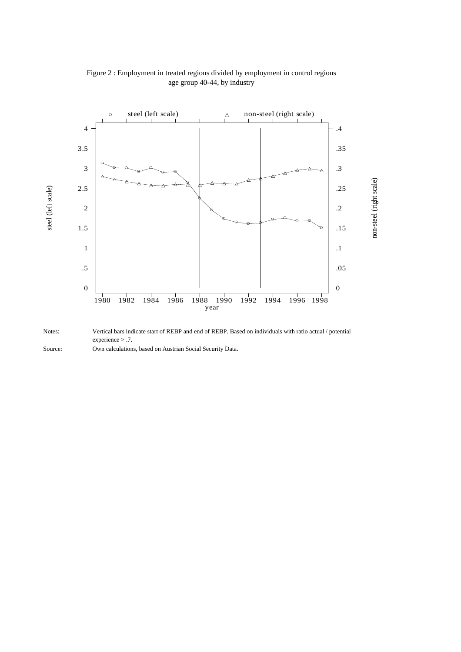

### Figure 2 : Employment in treated regions divided by employment in control regions age group 40-44, by industry

Notes: Vertical bars indicate start of REBP and end of REBP. Based on individuals with ratio actual / potential experience > .7.

Source: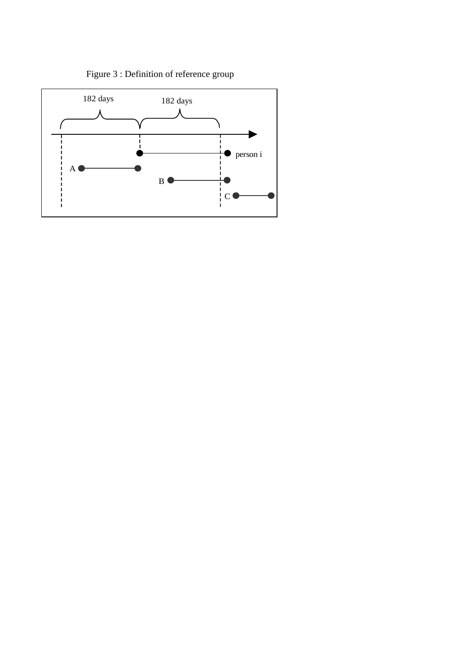

Figure 3 : Definition of reference group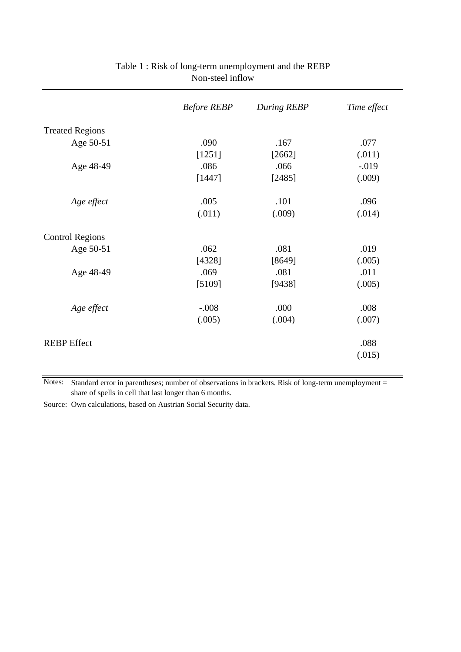|                        | <b>Before REBP</b> | During REBP | Time effect |
|------------------------|--------------------|-------------|-------------|
| <b>Treated Regions</b> |                    |             |             |
| Age 50-51              | .090               | .167        | .077        |
|                        | [1251]             | [2662]      | (.011)      |
| Age 48-49              | .086               | .066        | $-.019$     |
|                        | [1447]             | [2485]      | (.009)      |
| Age effect             | .005               | .101        | .096        |
|                        | (.011)             | (.009)      | (.014)      |
| <b>Control Regions</b> |                    |             |             |
| Age 50-51              | .062               | .081        | .019        |
|                        | [4328]             | [8649]      | (.005)      |
| Age 48-49              | .069               | .081        | .011        |
|                        | [5109]             | [9438]      | (.005)      |
| Age effect             | $-.008$            | .000        | .008        |
|                        | (.005)             | (.004)      | (.007)      |
| <b>REBP</b> Effect     |                    |             | .088        |
|                        |                    |             | (.015)      |

## Table 1 : Risk of long-term unemployment and the REBP Non-steel inflow

Notes: Standard error in parentheses; number of observations in brackets. Risk of long-term unemployment = share of spells in cell that last longer than 6 months.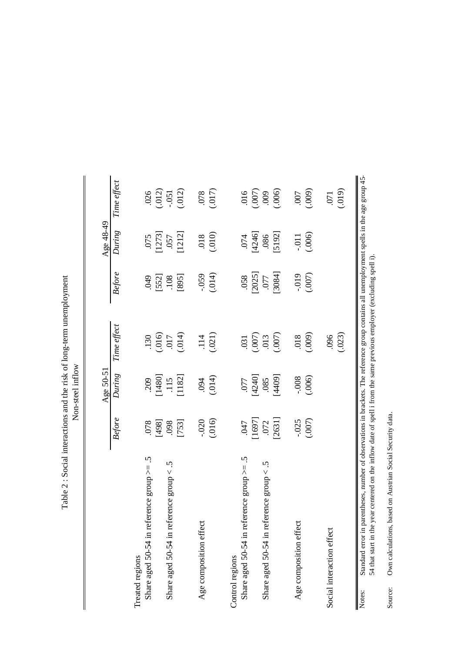|                                               |                  | Age 50-51                                                                               |                                                                  |                  | Age 48-49          |                               |
|-----------------------------------------------|------------------|-----------------------------------------------------------------------------------------|------------------------------------------------------------------|------------------|--------------------|-------------------------------|
|                                               | Before           | During                                                                                  | Time effect                                                      | Before           | During             | Time effect                   |
| Treated regions                               |                  |                                                                                         |                                                                  |                  |                    |                               |
| Share aged 50-54 in reference group $>= .5$   | 078              |                                                                                         |                                                                  | 600              |                    |                               |
|                                               | [864]            | $\begin{array}{c} 209 \\ [1480] \\[-4pt] 115 \\[-4pt] 1182] \\[-4pt] 1182] \end{array}$ |                                                                  | $[552]$<br>.108  | $\frac{075}{1273}$ | $\frac{026}{002}$             |
| Share aged 50-54 in reference group $< .5$    | .098             |                                                                                         |                                                                  |                  |                    |                               |
|                                               | $[753]$          |                                                                                         | $(016)$<br>$(016)$<br>$(017)$                                    | [895]            | [1212]             | (.012)                        |
| Age composition effect                        | $-0.020$         | .094                                                                                    |                                                                  | $-0.59$          | $810.$             |                               |
|                                               | (.016)           | (014)                                                                                   | (0.021)                                                          | (.014)           | (.010)             | (017)                         |
| Control regions                               |                  |                                                                                         |                                                                  |                  |                    |                               |
| Share aged 50-54 in reference group $>= .5$   | Lt0.             |                                                                                         |                                                                  |                  |                    |                               |
|                                               | [1697]           | 077<br>[4240]                                                                           | $\begin{array}{c} 031 \\[-4pt] 0.007 \\[-4pt] 0.007 \end{array}$ | $.058$<br>[2025] | $.074$<br>[4246]   | $(000)$<br>$(000)$<br>$(000)$ |
| J.<br>Share aged 50-54 in reference group $<$ | $.072$<br>[2631] | (6001)                                                                                  |                                                                  | T8081            | .086               |                               |
|                                               |                  |                                                                                         |                                                                  |                  | [5192]             |                               |
| Age composition effect                        |                  |                                                                                         | 018                                                              | $-0.019$         |                    | <b>COO</b> .                  |
|                                               | $-025$<br>(.007) | $-0.006$                                                                                | (.009)                                                           | (007)            | $-0.011$           | (.009)                        |
| Social interaction effect                     |                  |                                                                                         | 096                                                              |                  |                    | .071                          |
|                                               |                  |                                                                                         | (.023)                                                           |                  |                    | (019)                         |

Table 2 : Social interactions and the risk of long-term unemployment Table 2 : Social interactions and the risk of long-term unemployment

Own calculations, based on Austrian Social Security data. Source: Own calculations, based on Austrian Social Security data. Source: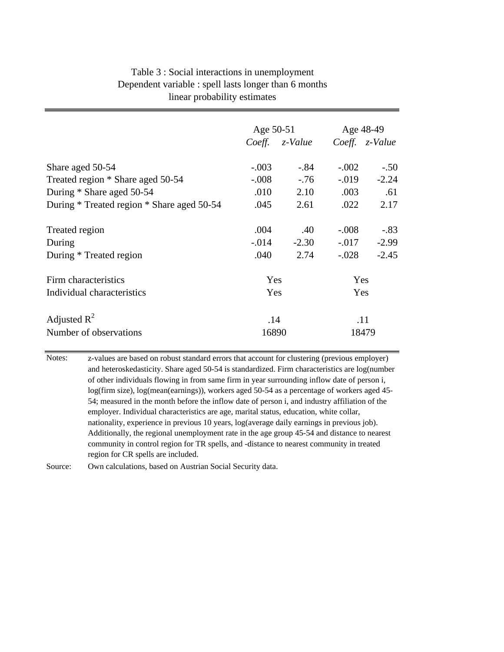| Table 3 : Social interactions in unemployment         |
|-------------------------------------------------------|
| Dependent variable : spell lasts longer than 6 months |
| linear probability estimates                          |

|                                            | Age 50-51 |                |          | Age 48-49      |
|--------------------------------------------|-----------|----------------|----------|----------------|
|                                            |           | Coeff. z-Value |          | Coeff. z-Value |
| Share aged 50-54                           | $-.003$   | $-.84$         | $-.002$  | $-.50$         |
| Treated region * Share aged 50-54          | $-.008$   | $-.76$         | $-.019$  | $-2.24$        |
| During * Share aged 50-54                  | .010      | 2.10           | .003     | .61            |
| During * Treated region * Share aged 50-54 | .045      | 2.61           | .022     | 2.17           |
| Treated region                             | .004      | .40            | $-.008$  | $-.83$         |
| During                                     | $-0.014$  | $-2.30$        | $-0.017$ | $-2.99$        |
| During * Treated region                    | .040      | 2.74           | $-.028$  | $-2.45$        |
| Firm characteristics                       | Yes       |                | Yes      |                |
| Individual characteristics                 | Yes       |                | Yes      |                |
| Adjusted $R^2$                             | .14       |                |          | .11            |
| Number of observations                     | 16890     |                |          | 18479          |

Notes: z-values are based on robust standard errors that account for clustering (previous employer) and heteroskedasticity. Share aged 50-54 is standardized. Firm characteristics are log(number of other individuals flowing in from same firm in year surrounding inflow date of person i, log(firm size), log(mean(earnings)), workers aged 50-54 as a percentage of workers aged 45- 54; measured in the month before the inflow date of person i, and industry affiliation of the employer. Individual characteristics are age, marital status, education, white collar, nationality, experience in previous 10 years, log(average daily earnings in previous job). Additionally, the regional unemployment rate in the age group 45-54 and distance to nearest community in control region for TR spells, and -distance to nearest community in treated region for CR spells are included.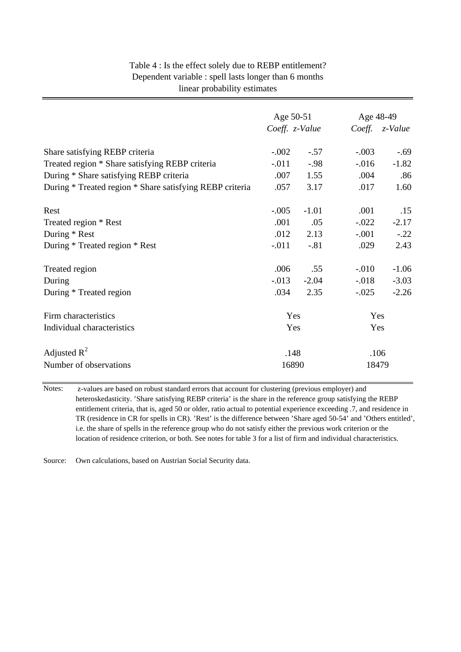| Table 4 : Is the effect solely due to REBP entitlement? |
|---------------------------------------------------------|
| Dependent variable : spell lasts longer than 6 months   |
| linear probability estimates                            |

|                                                          | Age 50-51      |         | Age 48-49 |                        |
|----------------------------------------------------------|----------------|---------|-----------|------------------------|
|                                                          | Coeff. z-Value |         |           | Coeff. <i>z</i> -Value |
| Share satisfying REBP criteria                           | $-.002$        | $-.57$  | $-.003$   | $-.69$                 |
| Treated region * Share satisfying REBP criteria          | $-.011$        | $-0.98$ | $-0.016$  | $-1.82$                |
| During * Share satisfying REBP criteria                  | .007           | 1.55    | .004      | .86                    |
| During * Treated region * Share satisfying REBP criteria | .057           | 3.17    | .017      | 1.60                   |
| Rest                                                     | $-.005$        | $-1.01$ | .001      | .15                    |
| Treated region * Rest                                    | .001           | .05     | $-.022$   | $-2.17$                |
| During * Rest                                            | .012           | 2.13    | $-.001$   | $-.22$                 |
| During * Treated region * Rest                           | $-0.011$       | $-.81$  | .029      | 2.43                   |
| Treated region                                           | .006           | .55     | $-.010$   | $-1.06$                |
| During                                                   | $-0.013$       | $-2.04$ | $-.018$   | $-3.03$                |
| During * Treated region                                  | .034           | 2.35    | $-.025$   | $-2.26$                |
| Firm characteristics                                     | Yes            |         | Yes       |                        |
| Individual characteristics                               | Yes            |         | Yes       |                        |
| Adjusted $R^2$                                           | .148           |         | .106      |                        |
| Number of observations                                   | 16890          |         | 18479     |                        |

Notes: z-values are based on robust standard errors that account for clustering (previous employer) and heteroskedasticity. 'Share satisfying REBP criteria' is the share in the reference group satisfying the REBP entitlement criteria, that is, aged 50 or older, ratio actual to potential experience exceeding .7, and residence in TR (residence in CR for spells in CR). 'Rest' is the difference between 'Share aged 50-54' and 'Others entitled', i.e. the share of spells in the reference group who do not satisfy either the previous work criterion or the location of residence criterion, or both. See notes for table 3 for a list of firm and individual characteristics.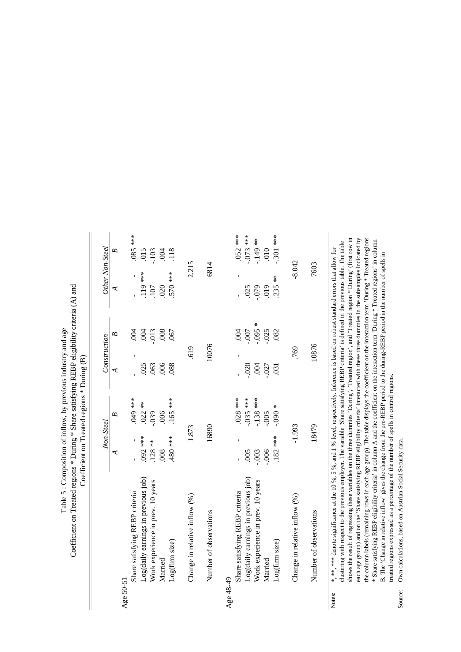|                                       | Non-Steel      | Construction | Other Non-Steel |
|---------------------------------------|----------------|--------------|-----------------|
|                                       | B              | B            | B               |
|                                       | ⋖              | ⋖            | ₹               |
| Share satisfying REBP criteria        | *** 049        | .004         | $***$<br>86.    |
| Age 50-51                             | ı              |              | ı               |
| $Log(daily$ earnings in previous job) | $.022**$       | .004         | 015             |
|                                       | 092 ***        | 025          | 119 ***         |
| Work experience in prev. 10 years     | $-0.39$        | .013         | .103            |
|                                       | $128**$        | .063         | 107             |
| Married                               | .006           | .008         | 004             |
|                                       | 008            | .006         | 020             |
| Log(firm size)                        | 165 ***        | .067         | 118             |
|                                       | 480 ***        | .088         | 570 ***         |
| Change in relative inflow (%)         | 1.873          | .619         | 2.215           |
| Number of observations                | 16890          | 10076        | 6814            |
| Age 48-49                             |                |              |                 |
| Share satisfying REBP criteria        | $.028***$<br>ı | .004         | $.052***$<br>ı, |
| Log(daily earnings in previous job)   | $-035$ ***     | -.007        | $-073$ ***      |
|                                       | 005            | $-0.020$     | .025            |
| Work experience in prev. 10 years     | $-138$ ***     | $*800 -$     | $-149$ **       |
|                                       | $-0.003$       | .004         | $-079$          |
| Married                               | $-0.005$       | $-0.025$     | 010             |
|                                       | $-0.006$       | $-027$       | 019             |
| Log(firm size)                        | $*060.$        | .082         | .301 ***        |
|                                       | $.182***$      | .031         | $235**$         |
| Change in relative inflow (%)         | $-1.993$       | 769          | $-8.042$        |
| Number of observations                | 18479          | 10876        | 7603            |
|                                       |                |              |                 |

shows the result of regressing these variables on the three dummies 'During', 'Treated region', and 'Treated region \* During' (first row in shows the result of regressing these variables on the three dummies 'During', 'Treated region', and 'Treated region \* During' (first row in each age group) and on the 'Share satisfying REBP eligibility criteria' interacted with these three dummies in the subsamples indicated by each age group) and on the 'Share satisfying REBP eligibility criteria' interacted with these three dummies in the subsamples indicated by the column labels (remaining rows in each age group). The table displays the coefficient on the interaction term 'During \* Treated regions the column labels (remaining rows in each age group). The table displays the coefficient on the interaction term 'During \* Treated regions \* Share satisfying REBP eligibility criteria' in column A and the coefficient on the interaction term 'During \* Treated regions' in column clustering with respect to the previous employer. The variable 'Share satisfying REBP criteria' is defined in the previous table. The table \* Share satisfying REBP eligibility criteria' in column A and the coefficient on the interaction term 'During \* Treated regions' in column clustering with respect to the previous employer. The variable 'Share satisfying REBP criteria' is defined in the previous table. The table \*, \*\*\* \*\*\* denote significance at the 10 %, 5 %, and 1 % level, respectively. Inference is based on robust standard errors that allow for \*, \*\*, \*\*\* denote significance at the 10 %, 5 %, and 1 % level, respectively. Inference is based on robust standard errors that allow for B. The 'Change in relative inflow' gives the change from the pre-REBP period to the during-REBP period in the number of spells in B. The 'Change in relative inflow' gives the change from the pre-REBP period to the during-REBP period in the number of spells in treated regions expressed as a percentage of the number of spells in control regions. treated regions expressed as a percentage of the number of spells in control regions. Notes:

Own calculations, based on Austrian Social Security data. Source: Own calculations, based on Austrian Social Security data. Source: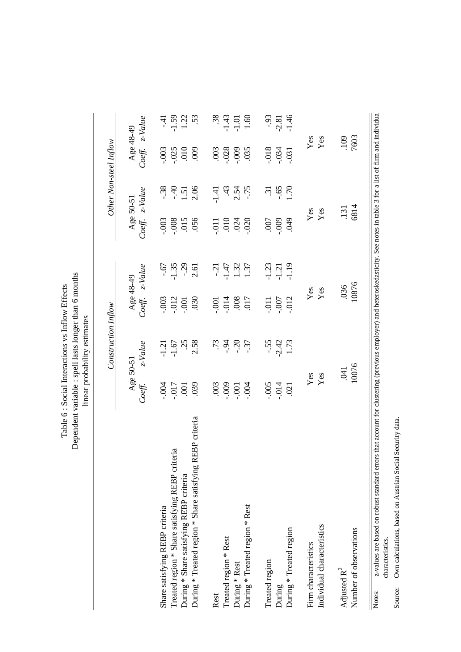Dependent variable : spell lasts longer than 6 months Dependent variable : spell lasts longer than 6 months Table 6 : Social Interactions vs Inflow Effects Table 6 : Social Interactions vs Inflow Effects linear probability estimates linear probability estimates

|                                                                                                                                                                                                          |                | Construction Inflow |                |            |           |            | Other Non-steel Inflow |             |
|----------------------------------------------------------------------------------------------------------------------------------------------------------------------------------------------------------|----------------|---------------------|----------------|------------|-----------|------------|------------------------|-------------|
|                                                                                                                                                                                                          |                | Age 50-51           | Age 48-49      |            | Age 50-51 |            | Age 48-49              |             |
|                                                                                                                                                                                                          | Coeff.         | $z$ -Value          | Coeff.         | $z$ -Value | Coeff.    | $z$ -Value | Coeff.                 | $z - Value$ |
| Share satisfying REBP criteria                                                                                                                                                                           |                | $-1.21$             | $-0.003$       |            | $-0.003$  | $-0.38$    | $-0.003$               | $-41$       |
| Treated region * Share satisfying REBP criteria                                                                                                                                                          | $-0.07$        | $-1.67$             | $-0.012$       | $-1.35$    | $-0.008$  | $-40$      | $-0.025$               | 1.59        |
| During * Share satisfying REBP criteria                                                                                                                                                                  | $\overline{5}$ | $\ddot{c}$          | $-0.001$       | $-29$      | .015      | 1.51       | 010                    | 1.22        |
| During * Treated region * Share satisfying REBP criteria                                                                                                                                                 | .039           | 2.58                | 030            | 2.61       | 056       | 2.06       | 000                    | 53          |
| Rest                                                                                                                                                                                                     | .003           | .73                 | .001           | $-21$      | $-011$    | $-1.41$    | .003                   | 38          |
| Treated region * Rest                                                                                                                                                                                    | $-000$         | $-0.94$             | $-0.14$        | $-1.47$    | 010       | 43         | $-0.028$               | $-1.43$     |
| During * Rest                                                                                                                                                                                            | $-0.001$       | $-0.20$             |                | 1.32       | .024      | 2.54       | $-009$                 | $-1.01$     |
| During * Treated region * Rest                                                                                                                                                                           | $-004$         | $-37$               | 008<br>800.    | 1.37       | $-020$    | $-75$      | .035                   | 1.60        |
| Treated region                                                                                                                                                                                           | $-0.005$       | $-55$               | <b>110</b> -   | $-1.23$    | .007      | $\ddot{3}$ | $-0.018$               | $-93$       |
| During                                                                                                                                                                                                   | $-0.014$       | $-2.42$             | .007           | $-1.21$    | $-009$    | $59 -$     | $-0.34$                | $-2.81$     |
| During * Treated region                                                                                                                                                                                  | .021           | 1.73                | $-012$         | $-1.19$    | 049       | 1.70       | $-0.31$                | $-1.46$     |
| Firm characteristics                                                                                                                                                                                     | $\mathbf{Yes}$ |                     | $\mathbf{Yes}$ |            | Yes       |            | Yes                    |             |
| Individual characteristics                                                                                                                                                                               | Yes            |                     | Yes            |            | Yes       |            | Yes                    |             |
| Adjusted R <sup>2</sup>                                                                                                                                                                                  |                | <b>EKO</b> .        | .036           |            | .131      |            | 109                    |             |
| Number of observations                                                                                                                                                                                   |                | 10076               | 10876          |            | 6814      |            | 7603                   |             |
| z-values are based on robust standard errors that account for clustering (previous employer) and heteroskedasticity. See notes in table 3 for a list of firm and individua<br>characteristics.<br>Notes: |                |                     |                |            |           |            |                        |             |

Own calculations, based on Austrian Social Security data. Source: Own calculations, based on Austrian Social Security data. Source: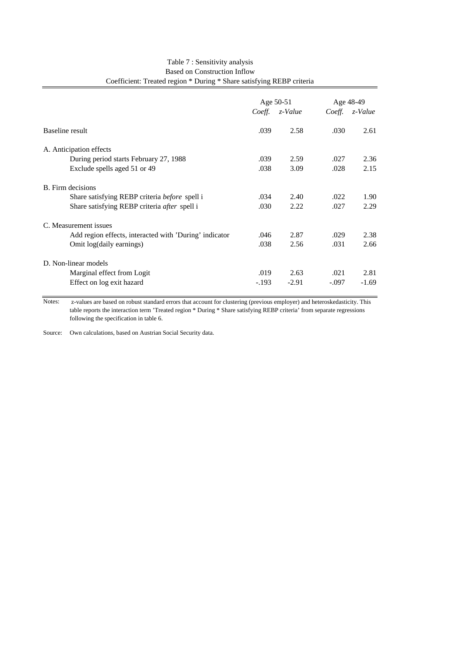|                                                        |         | Age 50-51      |         | Age 48-49      |
|--------------------------------------------------------|---------|----------------|---------|----------------|
|                                                        |         | Coeff. z-Value |         | Coeff. z-Value |
| Baseline result                                        | .039    | 2.58           | .030    | 2.61           |
| A. Anticipation effects                                |         |                |         |                |
| During period starts February 27, 1988                 | .039    | 2.59           | .027    | 2.36           |
| Exclude spells aged 51 or 49                           | .038    | 3.09           | .028    | 2.15           |
| B. Firm decisions                                      |         |                |         |                |
| Share satisfying REBP criteria <i>before</i> spell i   | .034    | 2.40           | .022    | 1.90           |
| Share satisfying REBP criteria <i>after</i> spell i    | .030    | 2.22           | .027    | 2.29           |
| C. Measurement issues                                  |         |                |         |                |
| Add region effects, interacted with 'During' indicator | .046    | 2.87           | .029    | 2.38           |
| Omit log(daily earnings)                               | .038    | 2.56           | .031    | 2.66           |
| D. Non-linear models                                   |         |                |         |                |
| Marginal effect from Logit                             | .019    | 2.63           | .021    | 2.81           |
| Effect on log exit hazard                              | $-.193$ | $-2.91$        | $-.097$ | $-1.69$        |

#### Table 7 : Sensitivity analysis Based on Construction Inflow Coefficient: Treated region \* During \* Share satisfying REBP criteria

Notes: z-values are based on robust standard errors that account for clustering (previous employer) and heteroskedasticity. This table reports the interaction term 'Treated region \* During \* Share satisfying REBP criteria' from separate regressions following the specification in table 6.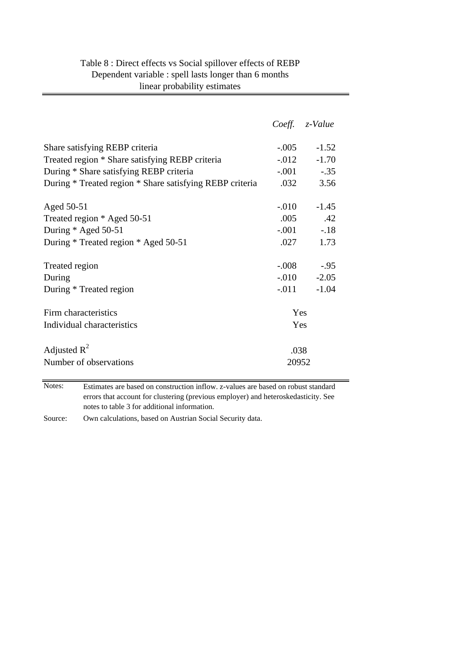| Table 8 : Direct effects vs Social spillover effects of REBP |
|--------------------------------------------------------------|
| Dependent variable : spell lasts longer than 6 months        |
| linear probability estimates                                 |

|                                                          | Coeff. z-Value |         |
|----------------------------------------------------------|----------------|---------|
| Share satisfying REBP criteria                           | $-0.005 -1.52$ |         |
| Treated region * Share satisfying REBP criteria          | $-.012 -1.70$  |         |
| During * Share satisfying REBP criteria                  | $-.001$ $-.35$ |         |
| During * Treated region * Share satisfying REBP criteria | .032           | 3.56    |
|                                                          |                |         |
| Aged 50-51                                               | $-.010$        | $-1.45$ |
| Treated region * Aged 50-51                              | $.005$ $.42$   |         |
| During * Aged 50-51                                      | $-.001-.18$    |         |
| During * Treated region * Aged 50-51                     | .027           | 1.73    |
|                                                          |                |         |
| Treated region                                           | $-.008$ $-.95$ |         |
| During                                                   | $-.010 -2.05$  |         |
| During * Treated region                                  | $-.011$        | $-1.04$ |
| Firm characteristics                                     | Yes            |         |
| Individual characteristics                               | Yes            |         |
|                                                          |                |         |
| Adjusted $R^2$                                           | .038           |         |
| Number of observations                                   | 20952          |         |

Notes: Estimates are based on construction inflow. z-values are based on robust standard errors that account for clustering (previous employer) and heteroskedasticity. See notes to table 3 for additional information.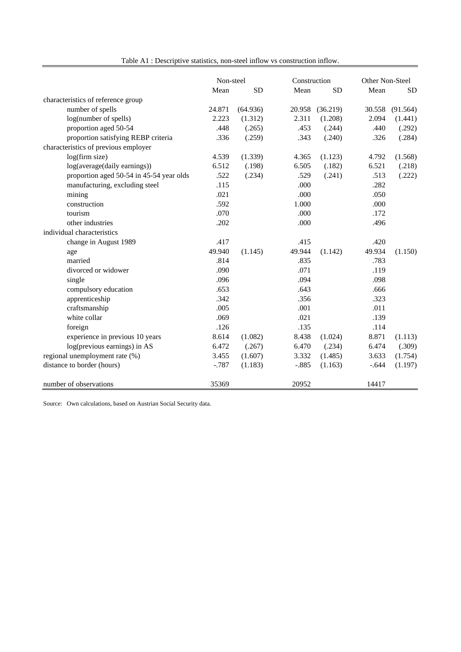| Table A1 : Descriptive statistics, non-steel inflow vs construction inflow. |           |           |         |              |         |                 |  |
|-----------------------------------------------------------------------------|-----------|-----------|---------|--------------|---------|-----------------|--|
|                                                                             | Non-steel |           |         | Construction |         | Other Non-Steel |  |
|                                                                             | Mean      | <b>SD</b> | Mean    | <b>SD</b>    | Mean    | <b>SD</b>       |  |
| characteristics of reference group                                          |           |           |         |              |         |                 |  |
| number of spells                                                            | 24.871    | (64.936)  | 20.958  | (36.219)     | 30.558  | (91.564)        |  |
| log(number of spells)                                                       | 2.223     | (1.312)   | 2.311   | (1.208)      | 2.094   | (1.441)         |  |
| proportion aged 50-54                                                       | .448      | (.265)    | .453    | (.244)       | .440    | (.292)          |  |
| proportion satisfying REBP criteria                                         | .336      | (.259)    | .343    | (.240)       | .326    | (.284)          |  |
| characteristics of previous employer                                        |           |           |         |              |         |                 |  |
| log(firm size)                                                              | 4.539     | (1.339)   | 4.365   | (1.123)      | 4.792   | (1.568)         |  |
| log(average(daily earnings))                                                | 6.512     | (.198)    | 6.505   | (.182)       | 6.521   | (.218)          |  |
| proportion aged 50-54 in 45-54 year olds                                    | .522      | (.234)    | .529    | (.241)       | .513    | (.222)          |  |
| manufacturing, excluding steel                                              | .115      |           | .000    |              | .282    |                 |  |
| mining                                                                      | .021      |           | .000    |              | .050    |                 |  |
| construction                                                                | .592      |           | 1.000   |              | .000    |                 |  |
| tourism                                                                     | .070      |           | .000    |              | .172    |                 |  |
| other industries                                                            | .202      |           | .000    |              | .496    |                 |  |
| individual characteristics                                                  |           |           |         |              |         |                 |  |
| change in August 1989                                                       | .417      |           | .415    |              | .420    |                 |  |
| age                                                                         | 49.940    | (1.145)   | 49.944  | (1.142)      | 49.934  | (1.150)         |  |
| married                                                                     | .814      |           | .835    |              | .783    |                 |  |
| divorced or widower                                                         | .090      |           | .071    |              | .119    |                 |  |
| single                                                                      | .096      |           | .094    |              | .098    |                 |  |
| compulsory education                                                        | .653      |           | .643    |              | .666    |                 |  |
| apprenticeship                                                              | .342      |           | .356    |              | .323    |                 |  |
| craftsmanship                                                               | .005      |           | .001    |              | .011    |                 |  |
| white collar                                                                | .069      |           | .021    |              | .139    |                 |  |
| foreign                                                                     | .126      |           | .135    |              | .114    |                 |  |
| experience in previous 10 years                                             | 8.614     | (1.082)   | 8.438   | (1.024)      | 8.871   | (1.113)         |  |
| log(previous earnings) in AS                                                | 6.472     | (.267)    | 6.470   | (.234)       | 6.474   | (.309)          |  |
| regional unemployment rate (%)                                              | 3.455     | (1.607)   | 3.332   | (1.485)      | 3.633   | (1.754)         |  |
| distance to border (hours)                                                  | $-787$    | (1.183)   | $-.885$ | (1.163)      | $-.644$ | (1.197)         |  |
| number of observations                                                      | 35369     |           | 20952   |              | 14417   |                 |  |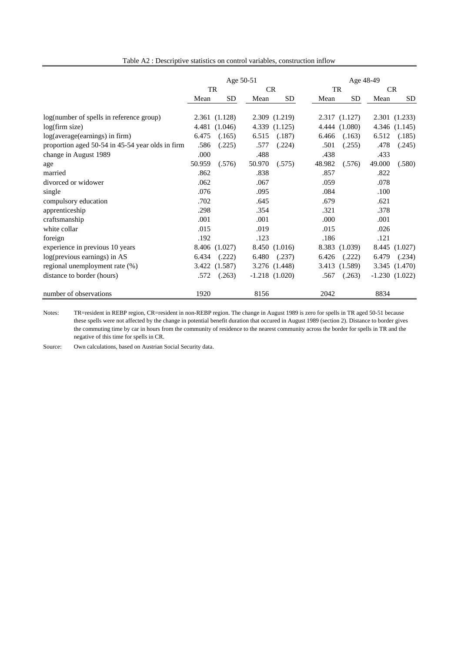|  |  | Table A2 : Descriptive statistics on control variables, construction inflow |  |  |
|--|--|-----------------------------------------------------------------------------|--|--|
|--|--|-----------------------------------------------------------------------------|--|--|

|                                                  | Age 50-51 |               |           |                    |        | Age 48-49     |        |                 |  |
|--------------------------------------------------|-----------|---------------|-----------|--------------------|--------|---------------|--------|-----------------|--|
|                                                  | <b>TR</b> |               | <b>CR</b> |                    |        | <b>TR</b>     |        | <b>CR</b>       |  |
|                                                  | Mean      | <b>SD</b>     | Mean      | <b>SD</b>          | Mean   | SD            | Mean   | <b>SD</b>       |  |
|                                                  |           |               |           |                    |        |               |        |                 |  |
| log(number of spells in reference group)         |           | 2.361 (1.128) |           | 2.309 (1.219)      |        | 2.317(1.127)  |        | 2.301 (1.233)   |  |
| log(firm size)                                   | 4.481     | (1.046)       | 4.339     | (1.125)            |        | 4.444 (1.080) | 4.346  | (1.145)         |  |
| log(average(earnings) in firm)                   | 6.475     | (.165)        | 6.515     | (.187)             | 6.466  | (.163)        | 6.512  | (.185)          |  |
| proportion aged 50-54 in 45-54 year olds in firm | .586      | (.225)        | .577      | (.224)             | .501   | (.255)        | .478   | (.245)          |  |
| change in August 1989                            | .000      |               | .488      |                    | .438   |               | .433   |                 |  |
| age                                              | 50.959    | (.576)        | 50.970    | (.575)             | 48.982 | (.576)        | 49.000 | (.580)          |  |
| married                                          | .862      |               | .838      |                    | .857   |               | .822   |                 |  |
| divorced or widower                              | .062      |               | .067      |                    | .059   |               | .078   |                 |  |
| single                                           | .076      |               | .095      |                    | .084   |               | .100   |                 |  |
| compulsory education                             | .702      |               | .645      |                    | .679   |               | .621   |                 |  |
| apprenticeship                                   | .298      |               | .354      |                    | .321   |               | .378   |                 |  |
| craftsmanship                                    | .001      |               | .001      |                    | .000   |               | .001   |                 |  |
| white collar                                     | .015      |               | .019      |                    | .015   |               | .026   |                 |  |
| foreign                                          | .192      |               | .123      |                    | .186   |               | .121   |                 |  |
| experience in previous 10 years                  |           | 8.406 (1.027) |           | 8.450 (1.016)      |        | 8.383 (1.039) | 8.445  | (1.027)         |  |
| log(previous earnings) in AS                     | 6.434     | (.222)        | 6.480     | (.237)             | 6.426  | (.222)        | 6.479  | (.234)          |  |
| regional unemployment rate (%)                   | 3.422     | (1.587)       |           | 3.276 (1.448)      |        | 3.413 (1.589) |        | 3.345 (1.470)   |  |
| distance to border (hours)                       | .572      | (.263)        |           | $-1.218$ $(1.020)$ | .567   | (.263)        |        | $-1.230(1.022)$ |  |
| number of observations                           | 1920      |               | 8156      |                    | 2042   |               | 8834   |                 |  |

Notes: TR=resident in REBP region, CR=resident in non-REBP region. The change in August 1989 is zero for spells in TR aged 50-51 because these spells were not affected by the change in potential benefit duration that occured in August 1989 (section 2). Distance to border gives the commuting time by car in hours from the community of residence to the nearest community across the border for spells in TR and the negative of this time for spells in CR.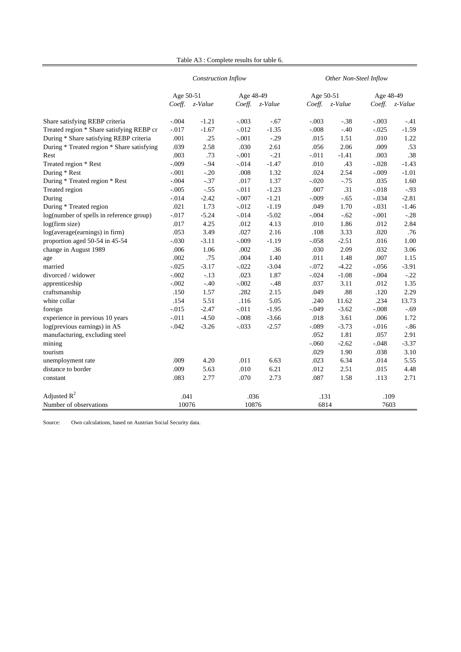|  |  | Table A3 : Complete results for table 6. |  |  |  |  |
|--|--|------------------------------------------|--|--|--|--|
|--|--|------------------------------------------|--|--|--|--|

|                                            |           | Construction Inflow |           |         | Other Non-Steel Inflow |         |           |         |  |
|--------------------------------------------|-----------|---------------------|-----------|---------|------------------------|---------|-----------|---------|--|
|                                            | Age 50-51 |                     | Age 48-49 |         | Age 50-51              |         | Age 48-49 |         |  |
|                                            | Coeff.    | z-Value             | Coeff.    | z-Value | Coeff.                 | z-Value | Coeff.    | z-Value |  |
| Share satisfying REBP criteria             | $-.004$   | $-1.21$             | $-.003$   | $-.67$  | $-.003$                | $-.38$  | $-.003$   | -.41    |  |
| Treated region * Share satisfying REBP cr  | $-.017$   | $-1.67$             | $-.012$   | $-1.35$ | $-.008$                | $-.40$  | $-.025$   | $-1.59$ |  |
| During * Share satisfying REBP criteria    | .001      | .25                 | $-.001$   | $-.29$  | .015                   | 1.51    | .010      | 1.22    |  |
| During * Treated region * Share satisfying | .039      | 2.58                | .030      | 2.61    | .056                   | 2.06    | .009      | .53     |  |
| Rest                                       | .003      | .73                 | $-.001$   | $-.21$  | $-011$                 | $-1.41$ | .003      | .38     |  |
| Treated region * Rest                      | $-.009$   | $-.94$              | $-.014$   | $-1.47$ | .010                   | .43     | $-.028$   | $-1.43$ |  |
| During * Rest                              | $-.001$   | $-.20$              | .008      | 1.32    | .024                   | 2.54    | $-.009$   | $-1.01$ |  |
| During * Treated region * Rest             | $-.004$   | $-.37$              | .017      | 1.37    | $-.020$                | $-75$   | .035      | 1.60    |  |
| Treated region                             | $-.005$   | $-.55$              | $-.011$   | $-1.23$ | .007                   | .31     | $-0.018$  | $-.93$  |  |
| During                                     | $-0.014$  | $-2.42$             | $-.007$   | $-1.21$ | $-.009$                | $-.65$  | $-.034$   | $-2.81$ |  |
| During * Treated region                    | .021      | 1.73                | $-.012$   | $-1.19$ | .049                   | 1.70    | $-.031$   | $-1.46$ |  |
| log(number of spells in reference group)   | $-0.017$  | $-5.24$             | $-.014$   | $-5.02$ | $-.004$                | $-.62$  | $-.001$   | $-.28$  |  |
| log(firm size)                             | .017      | 4.25                | .012      | 4.13    | .010                   | 1.86    | .012      | 2.84    |  |
| log(average(earnings) in firm)             | .053      | 3.49                | .027      | 2.16    | .108                   | 3.33    | .020      | .76     |  |
| proportion aged 50-54 in 45-54             | $-.030$   | $-3.11$             | $-.009$   | $-1.19$ | $-.058$                | $-2.51$ | .016      | 1.00    |  |
| change in August 1989                      | .006      | 1.06                | .002      | .36     | .030                   | 2.09    | .032      | 3.06    |  |
| age                                        | .002      | .75                 | .004      | 1.40    | .011                   | 1.48    | .007      | 1.15    |  |
| married                                    | $-.025$   | $-3.17$             | $-.022$   | $-3.04$ | $-.072$                | $-4.22$ | $-0.056$  | $-3.91$ |  |
| divorced / widower                         | $-.002$   | $-.13$              | .023      | 1.87    | $-.024$                | $-1.08$ | $-.004$   | $-.22$  |  |
| apprenticeship                             | $-.002$   | $-.40$              | $-.002$   | $-.48$  | .037                   | 3.11    | .012      | 1.35    |  |
| craftsmanship                              | .150      | 1.57                | .282      | 2.15    | .049                   | .88     | .120      | 2.29    |  |
| white collar                               | .154      | 5.51                | .116      | 5.05    | .240                   | 11.62   | .234      | 13.73   |  |
| foreign                                    | $-0.015$  | $-2.47$             | $-.011$   | $-1.95$ | $-.049$                | $-3.62$ | $-.008$   | $-.69$  |  |
| experience in previous 10 years            | $-.011$   | $-4.50$             | $-.008$   | $-3.66$ | .018                   | 3.61    | .006      | 1.72    |  |
| log(previous earnings) in AS               | $-.042$   | $-3.26$             | $-.033$   | $-2.57$ | $-.089$                | $-3.73$ | $-0.016$  | $-0.86$ |  |
| manufacturing, excluding steel             |           |                     |           |         | .052                   | 1.81    | .057      | 2.91    |  |
| mining                                     |           |                     |           |         | $-.060$                | $-2.62$ | $-.048$   | $-3.37$ |  |
| tourism                                    |           |                     |           |         | .029                   | 1.90    | .038      | 3.10    |  |
| unemployment rate                          | .009      | 4.20                | .011      | 6.63    | .023                   | 6.34    | .014      | 5.55    |  |
| distance to border                         | .009      | 5.63                | .010      | 6.21    | .012                   | 2.51    | .015      | 4.48    |  |
| constant                                   | .083      | 2.77                | .070      | 2.73    | .087                   | 1.58    | .113      | 2.71    |  |
| Adjusted $R^2$                             | .041      |                     | .036      |         |                        | .131    |           | .109    |  |
| Number of observations                     | 10076     |                     |           | 10876   |                        | 6814    |           | 7603    |  |